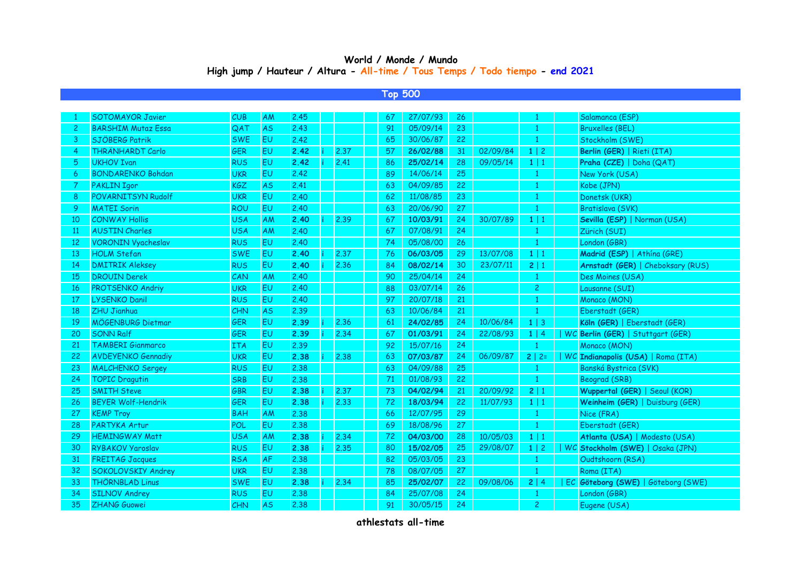## **World / Monde / Mundo High jump / Hauteur / Altura - All-time / Tous Temps / Todo tiempo - end 2021**

**Top 500**

|                | <b>SOTOMAYOR Javier</b>   | CUB        | AM        | 2.45 |      | 67 | 27/07/93 | 26 |          |                | Salamanca (ESP)                    |
|----------------|---------------------------|------------|-----------|------|------|----|----------|----|----------|----------------|------------------------------------|
| $\overline{c}$ | <b>BARSHIM Mutaz Essa</b> | QAT        | <b>AS</b> | 2.43 |      | 91 | 05/09/14 | 23 |          | $\mathbf{1}$   | <b>Bruxelles (BEL)</b>             |
| 3              | SJÖBERG Patrik            | <b>SWE</b> | EU        | 2,42 |      | 65 | 30/06/87 | 22 |          | 1              | Stockholm (SWE)                    |
| 4              | THRÄNHARDT Carlo          | <b>GER</b> | EU        | 2.42 | 2.37 | 57 | 26/02/88 | 31 | 02/09/84 | 1 2            | Berlin (GER)   Rieti (ITA)         |
| 5              | <b>UKHOV Ivan</b>         | <b>RUS</b> | EU        | 2.42 | 2.41 | 86 | 25/02/14 | 28 | 09/05/14 | $1 \mid 1$     | Praha (CZE)   Doha (QAT)           |
| 6              | <b>BONDARENKO Bohdan</b>  | <b>UKR</b> | EU        | 2,42 |      | 89 | 14/06/14 | 25 |          | $\mathbf{1}$   | New York (USA)                     |
| 7              | <b>PAKLIN Igor</b>        | <b>KGZ</b> | <b>AS</b> | 2.41 |      | 63 | 04/09/85 | 22 |          | $\mathbf{1}$   | Kobe (JPN)                         |
| 8              | POVARNITSYN Rudolf        | <b>UKR</b> | <b>EU</b> | 2.40 |      | 62 | 11/08/85 | 23 |          | $\mathbf{1}$   | Donetsk (UKR)                      |
| -9             | <b>MATEI Sorin</b>        | ROU        | EU        | 2.40 |      | 63 | 20/06/90 | 27 |          | $\mathbf{1}$   | Bratislava (SVK)                   |
| 10             | <b>CONWAY Hollis</b>      | <b>USA</b> | AM        | 2.40 | 2.39 | 67 | 10/03/91 | 24 | 30/07/89 | $1 \mid 1$     | Sevilla (ESP)   Norman (USA)       |
| <sup>11</sup>  | <b>AUSTIN Charles</b>     | <b>USA</b> | AM        | 2.40 |      | 67 | 07/08/91 | 24 |          | $\mathbf{1}$   | Zürich (SUI)                       |
| 12             | <b>VORONIN Vyacheslav</b> | <b>RUS</b> | EU        | 2.40 |      | 74 | 05/08/00 | 26 |          | $\mathbf{1}$   | London (GBR)                       |
| 13             | <b>HOLM Stefan</b>        | <b>SWE</b> | <b>EU</b> | 2.40 | 2.37 | 76 | 06/03/05 | 29 | 13/07/08 | $1 \mid 1$     | Madrid (ESP)   Athína (GRE)        |
| 14             | <b>DMITRIK Aleksey</b>    | <b>RUS</b> | <b>EU</b> | 2.40 | 2.36 | 84 | 08/02/14 | 30 | 23/07/11 | 2 1            | Arnstadt (GER)   Cheboksary (RUS)  |
| 15             | <b>DROUIN Derek</b>       | CAN        | AM        | 2.40 |      | 90 | 25/04/14 | 24 |          | $\mathbf{1}$   | Des Moines (USA)                   |
| 16             | <b>PROTSENKO Andriy</b>   | <b>UKR</b> | EU        | 2.40 |      | 88 | 03/07/14 | 26 |          | $\overline{c}$ | Lausanne (SUI)                     |
| 17             | <b>LYSENKO Danil</b>      | <b>RUS</b> | <b>EU</b> | 2.40 |      | 97 | 20/07/18 | 21 |          | $\mathbf{1}$   | Monaco (MON)                       |
| 18             | <b>ZHU Jianhua</b>        | CHN        | <b>AS</b> | 2.39 |      | 63 | 10/06/84 | 21 |          | $\mathbf{1}$   | Eberstadt (GER)                    |
| 19             | MÖGENBURG Dietmar         | <b>GER</b> | EU        | 2.39 | 2.36 | 61 | 24/02/85 | 24 | 10/06/84 | $1 \mid 3$     | Köln (GER)   Eberstadt (GER)       |
| 20             | <b>SONN Ralf</b>          | <b>GER</b> | EU        | 2.39 | 2.34 | 67 | 01/03/91 | 24 | 22/08/93 | 1   4          | WC Berlin (GER)   Stuttgart (GER)  |
| 21             | <b>TAMBERI Gianmarco</b>  | <b>ITA</b> | EU        | 2.39 |      | 92 | 15/07/16 | 24 |          | $\mathbf{1}$   | Monaco (MON)                       |
| 22             | <b>AVDEYENKO Gennadiy</b> | <b>UKR</b> | EU        | 2.38 | 2.38 | 63 | 07/03/87 | 24 | 06/09/87 | $2   2=$       | WC Indianapolis (USA)   Roma (ITA) |
| 23             | <b>MALCHENKO Sergey</b>   | <b>RUS</b> | EU        | 2.38 |      | 63 | 04/09/88 | 25 |          | 1              | Banská Bystrica (SVK)              |
| 24             | <b>TOPIC Dragutin</b>     | <b>SRB</b> | <b>EU</b> | 2.38 |      | 71 | 01/08/93 | 22 |          | $\mathbf{1}$   | Beograd (SRB)                      |
| 25             | <b>SMITH Steve</b>        | <b>GBR</b> | EU        | 2.38 | 2.37 | 73 | 04/02/94 | 21 | 20/09/92 | 2 1            | Wuppertal (GER)   Seoul (KOR)      |
| 26             | <b>BEYER Wolf-Hendrik</b> | <b>GER</b> | <b>EU</b> | 2.38 | 2.33 | 72 | 18/03/94 | 22 | 11/07/93 | $1 \mid 1$     | Weinheim (GER)   Duisburg (GER)    |
| 27             | <b>KEMP Troy</b>          | <b>BAH</b> | AM        | 2.38 |      | 66 | 12/07/95 | 29 |          | $\mathbf{1}$   | Nice (FRA)                         |
| 28             | <b>PARTYKA Artur</b>      | POL        | EU        | 2.38 |      | 69 | 18/08/96 | 27 |          | $\mathbf{1}$   | Eberstadt (GER)                    |
| 29             | <b>HEMINGWAY Matt</b>     | <b>USA</b> | AM        | 2.38 | 2.34 | 72 | 04/03/00 | 28 | 10/05/03 | $1 \mid 1$     | Atlanta (USA)   Modesto (USA)      |
| 30             | <b>RYBAKOV Yaroslav</b>   | <b>RUS</b> | EU        | 2.38 | 2.35 | 80 | 15/02/05 | 25 | 29/08/07 | $1 \mid 2$     | WC Stockholm (SWE)   Osaka (JPN)   |
| 31             | <b>FREITAG Jacques</b>    | <b>RSA</b> | <b>AF</b> | 2.38 |      | 82 | 05/03/05 | 23 |          | $\mathbf{1}$   | Oudtshoorn (RSA)                   |
| 32             | SOKOLOVSKIY Andrey        | <b>UKR</b> | EU        | 2.38 |      | 78 | 08/07/05 | 27 |          | $\mathbf{1}$   | Roma (ITA)                         |
| 33             | <b>THÖRNBLAD Linus</b>    | <b>SWE</b> | <b>EU</b> | 2.38 | 2.34 | 85 | 25/02/07 | 22 | 09/08/06 | 2 4            | EC Göteborg (SWE)   Göteborg (SWE) |
| 34             | <b>SILNOV Andrey</b>      | <b>RUS</b> | EU        | 2.38 |      | 84 | 25/07/08 | 24 |          | $\mathbf{1}$   | London (GBR)                       |
| 35             | <b>ZHANG Guowei</b>       | <b>CHN</b> | <b>AS</b> | 2.38 |      | 91 | 30/05/15 | 24 |          | $\overline{c}$ | Eugene (USA)                       |
|                |                           |            |           |      |      |    |          |    |          |                |                                    |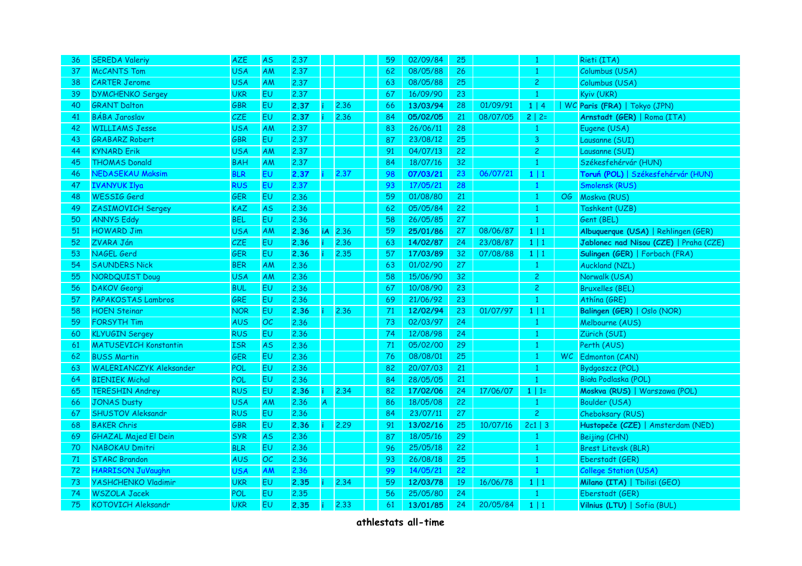| 36 | <b>SEREDA Valeriy</b>          | <b>AZE</b> | <b>AS</b> | 2.37 |   |           | 59 | 02/09/84 | 25 |          | $\mathbf{1}$   |    | Rieti (ITA)                            |
|----|--------------------------------|------------|-----------|------|---|-----------|----|----------|----|----------|----------------|----|----------------------------------------|
| 37 | <b>McCANTS Tom</b>             | <b>USA</b> | AM        | 2.37 |   |           | 62 | 08/05/88 | 26 |          | $\mathbf{1}$   |    | Columbus (USA)                         |
| 38 | <b>CARTER Jerome</b>           | <b>USA</b> | AM        | 2.37 |   |           | 63 | 08/05/88 | 25 |          | $\overline{c}$ |    | Columbus (USA)                         |
| 39 | <b>DYMCHENKO Sergey</b>        | <b>UKR</b> | <b>EU</b> | 2.37 |   |           | 67 | 16/09/90 | 23 |          | $\mathbf{1}$   |    | Kyiv (UKR)                             |
| 40 | <b>GRANT Dalton</b>            | <b>GBR</b> | <b>EU</b> | 2.37 |   | 2.36      | 66 | 13/03/94 | 28 | 01/09/91 | 1   4          |    | WC Paris (FRA)   Tokyo (JPN)           |
| 41 | <b>BÁBA Jaroslav</b>           | CZE        | EU        | 2.37 |   | 2.36      | 84 | 05/02/05 | 21 | 08/07/05 | $2   2 =$      |    | Arnstadt (GER)   Roma (ITA)            |
| 42 | <b>WILLIAMS Jesse</b>          | <b>USA</b> | AM        | 2.37 |   |           | 83 | 26/06/11 | 28 |          | $\mathbf{1}$   |    | Eugene (USA)                           |
| 43 | <b>GRABARZ Robert</b>          | GBR        | <b>EU</b> | 2,37 |   |           | 87 | 23/08/12 | 25 |          | 3              |    | Lausanne (SUI)                         |
| 44 | <b>KYNARD Erik</b>             | <b>USA</b> | AM        | 2.37 |   |           | 91 | 04/07/13 | 22 |          | $\overline{c}$ |    | Lausanne (SUI)                         |
| 45 | <b>THOMAS Donald</b>           | <b>BAH</b> | AM        | 2.37 |   |           | 84 | 18/07/16 | 32 |          | $\mathbf{1}$   |    | Székesfehérvár (HUN)                   |
| 46 | <b>NEDASEKAU Maksim</b>        | <b>BLR</b> | <b>EU</b> | 2.37 |   | 2.37      | 98 | 07/03/21 | 23 | 06/07/21 | $1 \mid 1$     |    | Toruń (POL)   Székesfehérvár (HUN)     |
| 47 | <b>IVANYUK Ilya</b>            | <b>RUS</b> | <b>EU</b> | 2.37 |   |           | 93 | 17/05/21 | 28 |          | $\mathbf{1}$   |    | Smolensk (RUS)                         |
| 48 | <b>WESSIG Gerd</b>             | <b>GER</b> | <b>EU</b> | 2.36 |   |           | 59 | 01/08/80 | 21 |          | $\mathbf{1}$   | OG | Moskva (RUS)                           |
| 49 | ZASIMOVICH Sergey              | <b>KAZ</b> | <b>AS</b> | 2.36 |   |           | 62 | 05/05/84 | 22 |          | $\mathbf{1}$   |    | Tashkent (UZB)                         |
| 50 | <b>ANNYS Eddy</b>              | <b>BEL</b> | EU.       | 2.36 |   |           | 58 | 26/05/85 | 27 |          | $\mathbf{1}$   |    | Gent (BEL)                             |
| 51 | <b>HOWARD Jim</b>              | <b>USA</b> | AM        | 2.36 |   | $iA$ 2.36 | 59 | 25/01/86 | 27 | 08/06/87 | $1 \mid 1$     |    | Albuquerque (USA)   Rehlingen (GER)    |
| 52 | ZVARA Ján                      | CZE        | <b>EU</b> | 2.36 |   | 2,36      | 63 | 14/02/87 | 24 | 23/08/87 | $1 \mid 1$     |    | Jablonec nad Nisou (CZE)   Praha (CZE) |
| 53 | NAGEL Gerd                     | GER        | <b>EU</b> | 2.36 |   | 2.35      | 57 | 17/03/89 | 32 | 07/08/88 | $1 \mid 1$     |    | Sulingen (GER)   Forbach (FRA)         |
| 54 | <b>SAUNDERS Nick</b>           | <b>BER</b> | AM        | 2.36 |   |           | 63 | 01/02/90 | 27 |          | $\mathbf{1}$   |    | Auckland (NZL)                         |
| 55 | NORDQUIST Doug                 | <b>USA</b> | AM        | 2.36 |   |           | 58 | 15/06/90 | 32 |          | $\overline{c}$ |    | Norwalk (USA)                          |
| 56 | <b>DAKOV Georgi</b>            | <b>BUL</b> | <b>EU</b> | 2.36 |   |           | 67 | 10/08/90 | 23 |          | $\overline{c}$ |    | <b>Bruxelles (BEL)</b>                 |
| 57 | PAPAKOSTAS Lambros             | <b>GRE</b> | <b>EU</b> | 2.36 |   |           | 69 | 21/06/92 | 23 |          | $\mathbf{1}$   |    | Athína (GRE)                           |
| 58 | <b>HOEN Steinar</b>            | <b>NOR</b> | <b>EU</b> | 2.36 |   | 2.36      | 71 | 12/02/94 | 23 | 01/07/97 | $1 \mid 1$     |    | Balingen (GER)   Oslo (NOR)            |
| 59 | <b>FORSYTH Tim</b>             | <b>AUS</b> | OC        | 2.36 |   |           | 73 | 02/03/97 | 24 |          | $\mathbf{1}$   |    | Melbourne (AUS)                        |
| 60 | <b>KLYUGIN Sergey</b>          | <b>RUS</b> | <b>EU</b> | 2.36 |   |           | 74 | 12/08/98 | 24 |          | $\mathbf{1}$   |    | Zürich (SUI)                           |
| 61 | <b>MATUSEVICH Konstantin</b>   | <b>ISR</b> | <b>AS</b> | 2.36 |   |           | 71 | 05/02/00 | 29 |          | $\mathbf{1}$   |    | Perth (AUS)                            |
| 62 | <b>BUSS Martin</b>             | <b>GER</b> | <b>EU</b> | 2.36 |   |           | 76 | 08/08/01 | 25 |          | $\mathbf{1}$   |    | WC Edmonton (CAN)                      |
| 63 | <b>WALERIANCZYK Aleksander</b> | POL        | <b>EU</b> | 2.36 |   |           | 82 | 20/07/03 | 21 |          | $\mathbf{1}$   |    | Bydgoszcz (POL)                        |
| 64 | <b>BIENIEK Michal</b>          | POL        | <b>EU</b> | 2.36 |   |           | 84 | 28/05/05 | 21 |          | $\mathbf{1}$   |    | Biała Podlaska (POL)                   |
| 65 | <b>TERESHIN Andrey</b>         | <b>RUS</b> | EU        | 2.36 |   | 2.34      | 82 | 17/02/06 | 24 | 17/06/07 | $1   1 =$      |    | Moskva (RUS)   Warszawa (POL)          |
| 66 | <b>JONAS Dusty</b>             | <b>USA</b> | AM        | 2.36 | A |           | 86 | 18/05/08 | 22 |          | $\mathbf{1}$   |    | Boulder (USA)                          |
| 67 | <b>SHUSTOV Aleksandr</b>       | <b>RUS</b> | <b>EU</b> | 2.36 |   |           | 84 | 23/07/11 | 27 |          | $\overline{c}$ |    | Cheboksary (RUS)                       |
| 68 | <b>BAKER Chris</b>             | <b>GBR</b> | <b>EU</b> | 2.36 |   | 2.29      | 91 | 13/02/16 | 25 | 10/07/16 | $2c1$   3      |    | Hustopeče (CZE)   Amsterdam (NED)      |
| 69 | <b>GHAZAL Majed El Dein</b>    | <b>SYR</b> | <b>AS</b> | 2.36 |   |           | 87 | 18/05/16 | 29 |          | 1              |    | Beijing (CHN)                          |
| 70 | NABOKAU Dmitri                 | <b>BLR</b> | <b>EU</b> | 2.36 |   |           | 96 | 25/05/18 | 22 |          | 1              |    | <b>Brest Litevsk (BLR)</b>             |
| 71 | <b>STARC Brandon</b>           | <b>AUS</b> | OC        | 2.36 |   |           | 93 | 26/08/18 | 25 |          | 1              |    | Eberstadt (GER)                        |
| 72 | <b>HARRISON JuVaughn</b>       | <b>USA</b> | AM        | 2.36 |   |           | 99 | 14/05/21 | 22 |          | $\mathbf{1}$   |    | <b>College Station (USA)</b>           |
| 73 | <b>YASHCHENKO Vladimir</b>     | <b>UKR</b> | <b>EU</b> | 2.35 |   | 2.34      | 59 | 12/03/78 | 19 | 16/06/78 | $1 \mid 1$     |    | Milano (ITA)   Tbilisi (GEO)           |
| 74 | <b>WSZOLA Jacek</b>            | POL        | <b>EU</b> | 2,35 |   |           | 56 | 25/05/80 | 24 |          | $\mathbf{1}$   |    | Eberstadt (GER)                        |
| 75 | <b>KOTOVICH Aleksandr</b>      | <b>UKR</b> | <b>EU</b> | 2.35 |   | 2.33      | 61 | 13/01/85 | 24 | 20/05/84 | $1 \mid 1$     |    | Vilnius (LTU)   Sofia (BUL)            |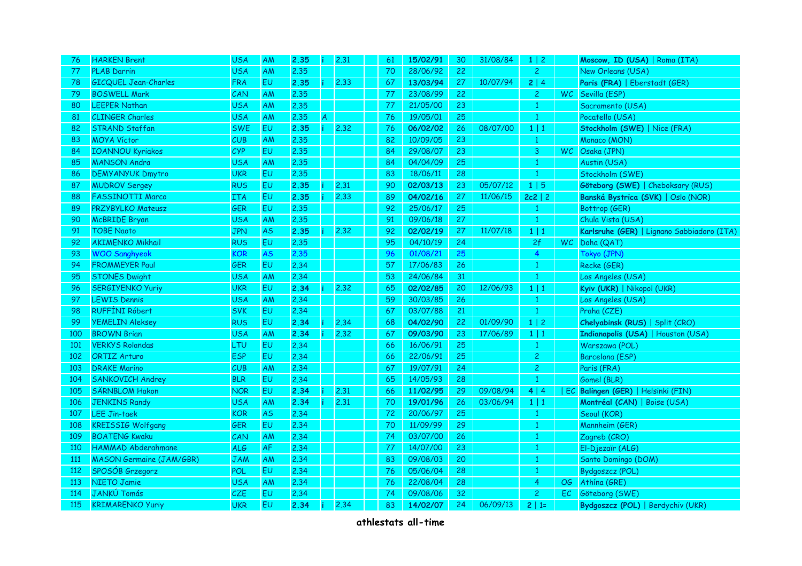| 76         | <b>HARKEN Brent</b>             | <b>USA</b> | AM        | 2.35 |    | 2,31 | 61 | 15/02/91 | 30 | 31/08/84 | $1 \mid 2$     |           | Moscow, ID (USA)   Roma (ITA)              |
|------------|---------------------------------|------------|-----------|------|----|------|----|----------|----|----------|----------------|-----------|--------------------------------------------|
| 77         | <b>PLAB Darrin</b>              | <b>USA</b> | AM        | 2.35 |    |      | 70 | 28/06/92 | 22 |          | $\overline{2}$ |           | New Orleans (USA)                          |
| 78         | <b>GICQUEL Jean-Charles</b>     | <b>FRA</b> | <b>EU</b> | 2.35 |    | 2.33 | 67 | 13/03/94 | 27 | 10/07/94 | 2 4            |           | Paris (FRA)   Eberstadt (GER)              |
| 79         | <b>BOSWELL Mark</b>             | CAN        | AM        | 2.35 |    |      | 77 | 23/08/99 | 22 |          | $\overline{2}$ |           | WC Sevilla (ESP)                           |
| 80         | <b>LEEPER Nathan</b>            | <b>USA</b> | AM        | 2.35 |    |      | 77 | 21/05/00 | 23 |          | $\mathbf{1}$   |           | Sacramento (USA)                           |
| 81         | <b>CLINGER Charles</b>          | USA        | AM        | 2.35 | A. |      | 76 | 19/05/01 | 25 |          | 1              |           | Pocatello (USA)                            |
| 82         | <b>STRAND Staffan</b>           | <b>SWE</b> | EU.       | 2.35 |    | 2.32 | 76 | 06/02/02 | 26 | 08/07/00 | 1 1            |           | Stockholm (SWE)   Nice (FRA)               |
| 83         | <b>MOYA Víctor</b>              | CUB        | AM        | 2.35 |    |      | 82 | 10/09/05 | 23 |          | $\mathbf{1}$   |           | Monaco (MON)                               |
| 84         | <b>IOANNOU Kyriakos</b>         | <b>CYP</b> | <b>EU</b> | 2.35 |    |      | 84 | 29/08/07 | 23 |          | $\mathbf{3}$   | <b>WC</b> | Osaka (JPN)                                |
| 85         | <b>MANSON Andra</b>             | <b>USA</b> | AM        | 2.35 |    |      | 84 | 04/04/09 | 25 |          | 1              |           | Austin (USA)                               |
| 86         | <b>DEMYANYUK Dmytro</b>         | <b>UKR</b> | EU.       | 2,35 |    |      | 83 | 18/06/11 | 28 |          | $\mathbf{1}$   |           | Stockholm (SWE)                            |
| 87         | <b>MUDROV Sergey</b>            | <b>RUS</b> | <b>EU</b> | 2.35 |    | 2,31 | 90 | 02/03/13 | 23 | 05/07/12 | 1 5            |           | Göteborg (SWE)   Cheboksary (RUS)          |
| 88         | <b>FASSINOTTI Marco</b>         | <b>ITA</b> | <b>EU</b> | 2.35 |    | 2.33 | 89 | 04/02/16 | 27 | 11/06/15 | $2c2$   2      |           | Banská Bystrica (SVK)   Oslo (NOR)         |
| 89         | PRZYBYLKO Mateusz               | GER        | EU        | 2,35 |    |      | 92 | 25/06/17 | 25 |          | $\mathbf{1}$   |           | Bottrop (GER)                              |
| 90         | <b>McBRIDE Bryan</b>            | <b>USA</b> | AM        | 2.35 |    |      | 91 | 09/06/18 | 27 |          | $\mathbf{1}$   |           | Chula Vista (USA)                          |
| 91         | <b>TOBE Naoto</b>               | <b>JPN</b> | <b>AS</b> | 2.35 |    | 2.32 | 92 | 02/02/19 | 27 | 11/07/18 | $1 \mid 1$     |           | Karlsruhe (GER)   Lignano Sabbiadoro (ITA) |
| 92         | <b>AKIMENKO Mikhail</b>         | <b>RUS</b> | <b>EU</b> | 2.35 |    |      | 95 | 04/10/19 | 24 |          | 2f             |           | WC Doha (QAT)                              |
| 93         | <b>WOO Sanghyeok</b>            | <b>KOR</b> | <b>AS</b> | 2.35 |    |      | 96 | 01/08/21 | 25 |          | $\overline{4}$ |           | Tokyo (JPN)                                |
| 94         | <b>FROMMEYER Paul</b>           | <b>GER</b> | <b>EU</b> | 2.34 |    |      | 57 | 17/06/83 | 26 |          |                |           | Recke (GER)                                |
| 95         | <b>STONES Dwight</b>            | <b>USA</b> | AM        | 2.34 |    |      | 53 | 24/06/84 | 31 |          |                |           | Los Angeles (USA)                          |
| 96         | <b>SERGIYENKO Yuriy</b>         | <b>UKR</b> | <b>EU</b> | 2.34 |    | 2.32 | 65 | 02/02/85 | 20 | 12/06/93 | $1 \mid 1$     |           | Kyiv (UKR)   Nikopol (UKR)                 |
| 97         | <b>LEWIS Dennis</b>             | USA        | AM        | 2.34 |    |      | 59 | 30/03/85 | 26 |          | $\mathbf{1}$   |           | Los Angeles (USA)                          |
| 98         | <b>RUFFÍNI Róbert</b>           | <b>SVK</b> | <b>EU</b> | 2.34 |    |      | 67 | 03/07/88 | 21 |          | $\mathbf{1}$   |           | Praha (CZE)                                |
| 99         | <b>YEMELIN Aleksey</b>          | <b>RUS</b> | <b>EU</b> | 2.34 |    | 2.34 | 68 | 04/02/90 | 22 | 01/09/90 | $1 \mid 2$     |           | Chelyabinsk (RUS)   Split (CRO)            |
| 100        | <b>BROWN Brian</b>              | <b>USA</b> | AM        | 2.34 |    | 2.32 | 67 | 09/03/90 | 23 | 17/06/89 | $1 \mid 1$     |           | Indianapolis (USA)   Houston (USA)         |
| <b>101</b> | <b>VERKYS Rolandas</b>          | LTU        | <b>EU</b> | 2.34 |    |      | 66 | 16/06/91 | 25 |          | $\mathbf{1}$   |           | Warszawa (POL)                             |
| 102        | <b>ORTIZ Arturo</b>             | <b>ESP</b> | <b>EU</b> | 2.34 |    |      | 66 | 22/06/91 | 25 |          | $\overline{c}$ |           | Barcelona (ESP)                            |
| 103        | <b>DRAKE Marino</b>             | CUB        | AM        | 2.34 |    |      | 67 | 19/07/91 | 24 |          | $\overline{c}$ |           | Paris (FRA)                                |
| 104        | <b>SANKOVICH Andrey</b>         | <b>BLR</b> | <b>EU</b> | 2.34 |    |      | 65 | 14/05/93 | 28 |          | $\mathbf{1}$   |           | Gomel (BLR)                                |
| 105        | <b>SÄRNBLOM Hakon</b>           | <b>NOR</b> | <b>EU</b> | 2.34 |    | 2,31 | 66 | 11/02/95 | 29 | 09/08/94 | 4 4            |           | EC Balingen (GER)   Helsinki (FIN)         |
| 106        | <b>JENKINS Randy</b>            | USA        | AM        | 2.34 |    | 2.31 | 70 | 19/01/96 | 26 | 03/06/94 | 1 1            |           | Montréal (CAN)   Boise (USA)               |
| 107        | <b>LEE Jin-taek</b>             | <b>KOR</b> | <b>AS</b> | 2.34 |    |      | 72 | 20/06/97 | 25 |          | $\mathbf{1}$   |           | Seoul (KOR)                                |
| 108        | <b>KREISSIG Wolfgang</b>        | <b>GER</b> | <b>EU</b> | 2.34 |    |      | 70 | 11/09/99 | 29 |          | $\mathbf{1}$   |           | Mannheim (GER)                             |
| 109        | <b>BOATENG Kwaku</b>            | CAN        | AM        | 2.34 |    |      | 74 | 03/07/00 | 26 |          | $\mathbf{1}$   |           | Zagreb (CRO)                               |
| 110        | HAMMAD Abderahmane              | ALG        | AF        | 2.34 |    |      | 77 | 14/07/00 | 23 |          | $\mathbf{1}$   |           | El-Djezaïr (ALG)                           |
| 111        | <b>MASON Germaine (JAM/GBR)</b> | <b>JAM</b> | AM        | 2.34 |    |      | 83 | 09/08/03 | 20 |          | $\overline{1}$ |           | Santo Domingo (DOM)                        |
| 112        | SPOSÓB Grzegorz                 | POL        | <b>EU</b> | 2.34 |    |      | 76 | 05/06/04 | 28 |          | $\mathbf{1}$   |           | Bydgoszcz (POL)                            |
| 113        | <b>NIETO Jamie</b>              | <b>USA</b> | AM        | 2.34 |    |      | 76 | 22/08/04 | 28 |          | $\overline{4}$ | OG        | Athína (GRE)                               |
| 114        | JANKÚ Tomás                     | CZE        | <b>EU</b> | 2.34 |    |      | 74 | 09/08/06 | 32 |          | $\overline{2}$ | EC        | Göteborg (SWE)                             |
| 115        | <b>KRIMARENKO Yuriy</b>         | <b>UKR</b> | <b>EU</b> | 2.34 |    | 2.34 | 83 | 14/02/07 | 24 | 06/09/13 | $2   1 =$      |           | Bydgoszcz (POL)   Berdychiv (UKR)          |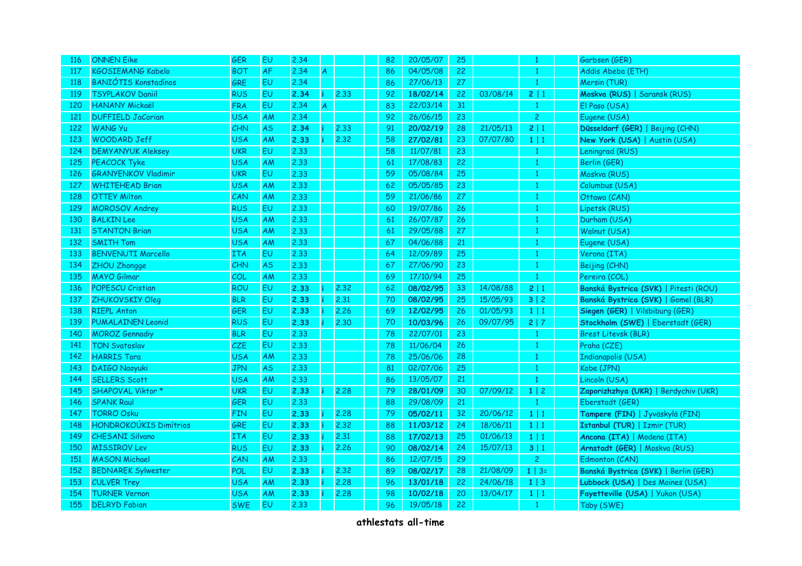| 116 | <b>ONNEN Eike</b>           | <b>GER</b> | <b>EU</b>      | 2.34 |    |      | 82 | 20/05/07 | 25 |          | -1             | Garbsen (GER)                         |
|-----|-----------------------------|------------|----------------|------|----|------|----|----------|----|----------|----------------|---------------------------------------|
| 117 | <b>KGOSIEMANG Kabelo</b>    | <b>BOT</b> | <b>AF</b>      | 2.34 | A. |      | 86 | 04/05/08 | 22 |          | 1              | Addis Abeba (ETH)                     |
| 118 | <b>BANIÓTIS Konstadínos</b> | <b>GRE</b> | EU             | 2.34 |    |      | 86 | 27/06/13 | 27 |          | $\mathbf{1}$   | Mersin (TUR)                          |
| 119 | <b>TSYPLAKOV Daniil</b>     | <b>RUS</b> | EU             | 2.34 |    | 2.33 | 92 | 18/02/14 | 22 | 03/08/14 | 2 1            | Moskva (RUS)   Saransk (RUS)          |
| 120 | <b>HANANY Mickaël</b>       | <b>FRA</b> | EU             | 2.34 | A. |      | 83 | 22/03/14 | 31 |          | $\mathbf{1}$   | El Paso (USA)                         |
| 121 | <b>DUFFIELD JaCorian</b>    | USA        | AM             | 2.34 |    |      | 92 | 26/06/15 | 23 |          | $\overline{c}$ | Eugene (USA)                          |
| 122 | WANG Yu                     | CHN        | <b>AS</b>      | 2.34 |    | 2.33 | 91 | 20/02/19 | 28 | 21/05/13 | 2 1            | Düsseldorf (GER)   Beijing (CHN)      |
| 123 | WOODARD Jeff                | <b>USA</b> | AM             | 2.33 |    | 2,32 | 58 | 27/02/81 | 23 | 07/07/80 | 1 1            | New York (USA)   Austin (USA)         |
| 124 | <b>DEMYANYUK Aleksey</b>    | <b>UKR</b> | EU             | 2.33 |    |      | 58 | 11/07/81 | 23 |          | $\mathbf{1}$   | Leningrad (RUS)                       |
| 125 | <b>PEACOCK Tyke</b>         | USA        | <b>AM</b>      | 2.33 |    |      | 61 | 17/08/83 | 22 |          | 1              | Berlin (GER)                          |
| 126 | <b>GRANYENKOV Vladimir</b>  | <b>UKR</b> | E <sub>U</sub> | 2.33 |    |      | 59 | 05/08/84 | 25 |          | 1              | Moskva (RUS)                          |
| 127 | <b>WHITEHEAD Brian</b>      | USA        | <b>AM</b>      | 2.33 |    |      | 62 | 05/05/85 | 23 |          | $\mathbf{1}$   | Columbus (USA)                        |
| 128 | <b>OTTEY Milton</b>         | CAN        | AM             | 2.33 |    |      | 59 | 21/06/86 | 27 |          | $\mathbf{1}$   | Ottawa (CAN)                          |
| 129 | <b>MOROSOV Andrey</b>       | <b>RUS</b> | EU.            | 2.33 |    |      | 60 | 19/07/86 | 26 |          | $\mathbf{1}$   | Lipetsk (RUS)                         |
| 130 | <b>BALKIN Lee</b>           | <b>USA</b> | AM             | 2.33 |    |      | 61 | 26/07/87 | 26 |          | $\mathbf{1}$   | Durham (USA)                          |
| 131 | <b>STANTON Brian</b>        | <b>USA</b> | AM             | 2.33 |    |      | 61 | 29/05/88 | 27 |          | $\mathbf{1}$   | Walnut (USA)                          |
| 132 | <b>SMITH Tom</b>            | USA        | AM             | 2.33 |    |      | 67 | 04/06/88 | 21 |          | $\mathbf{1}$   | Eugene (USA)                          |
| 133 | <b>BENVENUTI Marcello</b>   | <b>ITA</b> | EU             | 2.33 |    |      | 64 | 12/09/89 | 25 |          | 1              | Verona (ITA)                          |
| 134 | ZHOU Zhongge                | CHN        | <b>AS</b>      | 2.33 |    |      | 67 | 27/06/90 | 23 |          | $\mathbf{1}$   | Beijing (CHN)                         |
| 135 | <b>MAYO Gilmar</b>          | COL        | AM             | 2.33 |    |      | 69 | 17/10/94 | 25 |          | $\mathbf{1}$   | Pereira (COL)                         |
| 136 | <b>POPESCU Cristian</b>     | <b>ROU</b> | EU             | 2.33 |    | 2.32 | 62 | 08/02/95 | 33 | 14/08/88 | 2 1            | Banská Bystrica (SVK)   Pitesti (ROU) |
| 137 | <b>ZHUKOVSKIY Oleg</b>      | <b>BLR</b> | EU             | 2.33 |    | 2,31 | 70 | 08/02/95 | 25 | 15/05/93 | 3 2            | Banská Bystrica (SVK)   Gomel (BLR)   |
| 138 | <b>RIEPL Anton</b>          | GER        | <b>EU</b>      | 2.33 |    | 2.26 | 69 | 12/02/95 | 26 | 01/05/93 | $1 \mid 1$     | Siegen (GER)   Vilsbiburg (GER)       |
| 139 | <b>PUMALAINEN Leonid</b>    | <b>RUS</b> | EU             | 2.33 |    | 2.30 | 70 | 10/03/96 | 26 | 09/07/95 | 2 7            | Stockholm (SWE)   Eberstadt (GER)     |
| 140 | <b>MOROZ</b> Gennadiy       | <b>BLR</b> | <b>EU</b>      | 2.33 |    |      | 78 | 22/07/01 | 23 |          | $\mathbf{1}$   | <b>Brest Litevsk (BLR)</b>            |
| 141 | <b>TON Svatoslav</b>        | <b>CZE</b> | EU             | 2.33 |    |      | 78 | 11/06/04 | 26 |          | $\mathbf{1}$   | Praha (CZE)                           |
| 142 | <b>HARRIS Tora</b>          | USA        | AM             | 2.33 |    |      | 78 | 25/06/06 | 28 |          | $\mathbf{1}$   | Indianapolis (USA)                    |
| 143 | <b>DAIGO Naoyuki</b>        | <b>JPN</b> | <b>AS</b>      | 2.33 |    |      | 81 | 02/07/06 | 25 |          | $\mathbf{1}$   | Kobe (JPN)                            |
| 144 | <b>SELLERS Scott</b>        | USA        | AM             | 2.33 |    |      | 86 | 13/05/07 | 21 |          | $\mathbf{1}$   | Lincoln (USA)                         |
| 145 | SHAPOVAL Viktor *           | <b>UKR</b> | EU.            | 2.33 |    | 2.28 | 79 | 28/01/09 | 30 | 07/09/12 | $1 \mid 2$     | Zaporizhzhya (UKR)   Berdychiv (UKR)  |
| 146 | <b>SPANK Raul</b>           | <b>GER</b> | <b>EU</b>      | 2.33 |    |      | 88 | 29/08/09 | 21 |          | $\mathbf{1}$   | Eberstadt (GER)                       |
| 147 | <b>TORRO Osku</b>           | <b>FIN</b> | EU             | 2.33 |    | 2,28 | 79 | 05/02/11 | 32 | 20/06/12 | $1 \mid 1$     | Tampere (FIN)   Jyväskylä (FIN)       |
| 148 | HONDROKOÚKIS Dimítrios      | GRE        | EU             | 2.33 |    | 2.32 | 88 | 11/03/12 | 24 | 18/06/11 | 1 1            | Istanbul (TUR)   Izmir (TUR)          |
| 149 | <b>CHESANI Silvano</b>      | <b>ITA</b> | EU             | 2.33 |    | 2,31 | 88 | 17/02/13 | 25 | 01/06/13 | 1 1            | Ancona (ITA)   Modena (ITA)           |
| 150 | <b>MISSIROV Lev</b>         | <b>RUS</b> | EU             | 2.33 |    | 2.26 | 90 | 08/02/14 | 24 | 15/07/13 | 3 1            | Arnstadt (GER)   Moskva (RUS)         |
| 151 | <b>MASON Michael</b>        | CAN        | AM             | 2.33 |    |      | 86 | 12/07/15 | 29 |          | $\overline{c}$ | Edmonton (CAN)                        |
| 152 | <b>BEDNAREK Sylwester</b>   | POL        | EU             | 2.33 |    | 2.32 | 89 | 08/02/17 | 28 | 21/08/09 | $1 \mid 3 =$   | Banská Bystrica (SVK)   Berlin (GER)  |
| 153 | <b>CULVER Trey</b>          | <b>USA</b> | AM             | 2.33 |    | 2.28 | 96 | 13/01/18 | 22 | 24/06/18 | $1 \mid 3$     | Lubbock (USA)   Des Moines (USA)      |
| 154 | <b>TURNER Vernon</b>        | <b>USA</b> | AM             | 2.33 |    | 2.28 | 98 | 10/02/18 | 20 | 13/04/17 | $1 \mid 1$     | Fayetteville (USA)   Yukon (USA)      |
| 155 | <b>DELRYD Fabian</b>        | <b>SWE</b> | EU             | 2.33 |    |      | 96 | 19/05/18 | 22 |          | $\mathbf{1}$   | Täby (SWE)                            |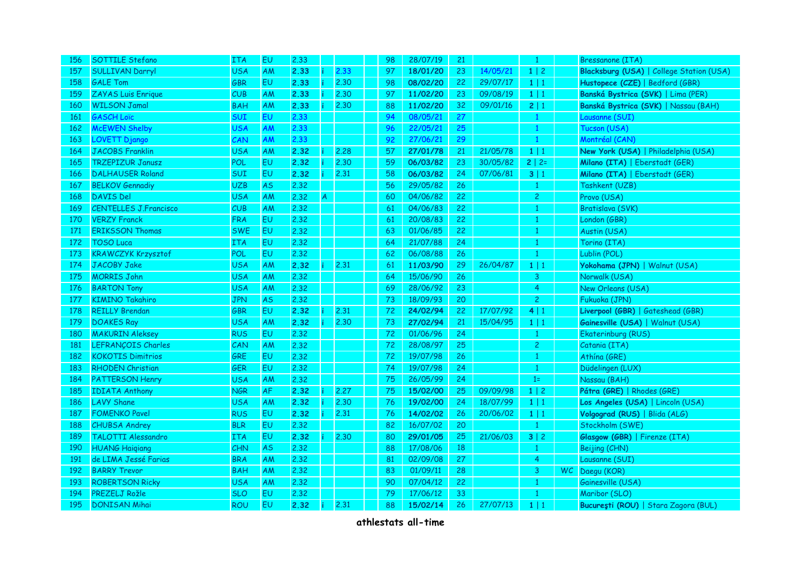| 156 | SOTTILE Stefano              | <b>ITA</b> | <b>EU</b> | 2.33 |   |      | 98 | 28/07/19 | 21 |          | $\mathbf{1}$   | <b>Bressanone (ITA)</b>                  |
|-----|------------------------------|------------|-----------|------|---|------|----|----------|----|----------|----------------|------------------------------------------|
| 157 | <b>SULLIVAN Darryl</b>       | <b>USA</b> | AM        | 2.33 |   | 2.33 | 97 | 18/01/20 | 23 | 14/05/21 | $1 \mid 2$     | Blacksburg (USA)   College Station (USA) |
| 158 | <b>GALE Tom</b>              | <b>GBR</b> | <b>EU</b> | 2.33 |   | 2.30 | 98 | 08/02/20 | 22 | 29/07/17 | $1 \mid 1$     | Hustopece (CZE)   Bedford (GBR)          |
| 159 | ZAYAS Luis Enrique           | CUB        | AM        | 2.33 |   | 2.30 | 97 | 11/02/20 | 23 | 09/08/19 | $1 \mid 1$     | Banská Bystrica (SVK)   Lima (PER)       |
| 160 | <b>WILSON Jamal</b>          | <b>BAH</b> | AM        | 2.33 |   | 2,30 | 88 | 11/02/20 | 32 | 09/01/16 | 2 1            | Banská Bystrica (SVK)   Nassau (BAH)     |
| 161 | <b>GASCH Loïc</b>            | SUI        | EU        | 2.33 |   |      | 94 | 08/05/21 | 27 |          | $\mathbf{1}$   | Lausanne (SUI)                           |
| 162 | <b>McEWEN Shelby</b>         | <b>USA</b> | AM        | 2.33 |   |      | 96 | 22/05/21 | 25 |          | $\mathbf{1}$   | Tucson (USA)                             |
| 163 | <b>LOVETT Django</b>         | CAN        | AM        | 2.33 |   |      | 92 | 27/06/21 | 29 |          | $\mathbf{1}$   | Montréal (CAN)                           |
| 164 | <b>JACOBS Franklin</b>       | <b>USA</b> | AM        | 2.32 |   | 2.28 | 57 | 27/01/78 | 21 | 21/05/78 | $1 \mid 1$     | New York (USA)   Philadelphia (USA)      |
| 165 | <b>TRZEPIZUR Janusz</b>      | POL        | EU        | 2.32 |   | 2,30 | 59 | 06/03/82 | 23 | 30/05/82 | $2   2 =$      | Milano (ITA)   Eberstadt (GER)           |
| 166 | <b>DALHAUSER Roland</b>      | <b>SUI</b> | EU        | 2.32 |   | 2.31 | 58 | 06/03/82 | 24 | 07/06/81 | 3 1            | Milano (ITA)   Eberstadt (GER)           |
| 167 | <b>BELKOV Gennadiy</b>       | <b>UZB</b> | <b>AS</b> | 2.32 |   |      | 56 | 29/05/82 | 26 |          | $\mathbf{1}$   | Tashkent (UZB)                           |
| 168 | DAVIS Del                    | <b>USA</b> | AM        | 2.32 | A |      | 60 | 04/06/82 | 22 |          | $\overline{c}$ | Provo (USA)                              |
| 169 | <b>CENTELLES J.Francisco</b> | CUB        | AM        | 2.32 |   |      | 61 | 04/06/83 | 22 |          | $\mathbf{1}$   | Bratislava (SVK)                         |
| 170 | <b>VERZY Franck</b>          | <b>FRA</b> | EU        | 2.32 |   |      | 61 | 20/08/83 | 22 |          | $\mathbf{1}$   | London (GBR)                             |
| 171 | <b>ERIKSSON Thomas</b>       | <b>SWE</b> | EU        | 2.32 |   |      | 63 | 01/06/85 | 22 |          | $\mathbf{1}$   | Austin (USA)                             |
| 172 | <b>TOSO Luca</b>             | <b>ITA</b> | <b>EU</b> | 2.32 |   |      | 64 | 21/07/88 | 24 |          | $\mathbf{1}$   | Torino (ITA)                             |
| 173 | <b>KRAWCZYK Krzysztof</b>    | POL        | <b>EU</b> | 2.32 |   |      | 62 | 06/08/88 | 26 |          | $\mathbf{1}$   | Lublin (POL)                             |
| 174 | JACOBY Jake                  | <b>USA</b> | AM        | 2.32 |   | 2.31 | 61 | 11/03/90 | 29 | 26/04/87 | $1 \mid 1$     | Yokohama (JPN)   Walnut (USA)            |
| 175 | <b>MORRIS John</b>           | <b>USA</b> | AM        | 2.32 |   |      | 64 | 15/06/90 | 26 |          | 3              | Norwalk (USA)                            |
| 176 | <b>BARTON Tony</b>           | <b>USA</b> | AM        | 2.32 |   |      | 69 | 28/06/92 | 23 |          | $\overline{4}$ | New Orleans (USA)                        |
| 177 | <b>KIMINO Takahiro</b>       | <b>JPN</b> | AS.       | 2.32 |   |      | 73 | 18/09/93 | 20 |          | $\overline{c}$ | Fukuoka (JPN)                            |
| 178 | <b>REILLY Brendan</b>        | <b>GBR</b> | <b>EU</b> | 2.32 |   | 2,31 | 72 | 24/02/94 | 22 | 17/07/92 | 4 1            | Liverpool (GBR)   Gateshead (GBR)        |
| 179 | <b>DOAKES Ray</b>            | <b>USA</b> | AM        | 2.32 |   | 2,30 | 73 | 27/02/94 | 21 | 15/04/95 | $1 \mid 1$     | Gainesville (USA)   Walnut (USA)         |
| 180 | <b>MAKURIN Aleksey</b>       | <b>RUS</b> | <b>EU</b> | 2.32 |   |      | 72 | 01/06/96 | 24 |          | $\mathbf{1}$   | Ekaterinburg (RUS)                       |
| 181 | LEFRANÇOIS Charles           | CAN        | AM        | 2.32 |   |      | 72 | 28/08/97 | 25 |          | $\overline{c}$ | Catania (ITA)                            |
| 182 | <b>KOKOTIS Dimitrios</b>     | GRE        | <b>EU</b> | 2.32 |   |      | 72 | 19/07/98 | 26 |          | $\mathbf{1}$   | Athína (GRE)                             |
| 183 | <b>RHODEN Christian</b>      | GER        | <b>EU</b> | 2.32 |   |      | 74 | 19/07/98 | 24 |          | $\mathbf{1}$   | Düdelingen (LUX)                         |
| 184 | <b>PATTERSON Henry</b>       | <b>USA</b> | AM        | 2.32 |   |      | 75 | 26/05/99 | 24 |          | $1=$           | Nassau (BAH)                             |
| 185 | <b>IDIATA Anthony</b>        | <b>NGR</b> | <b>AF</b> | 2.32 |   | 2.27 | 75 | 15/02/00 | 25 | 09/09/98 | $1 \mid 2$     | Pátra (GRE)   Rhodes (GRE)               |
| 186 | <b>LAVY Shane</b>            | <b>USA</b> | AM        | 2.32 |   | 2,30 | 76 | 19/02/00 | 24 | 18/07/99 | $1 \mid 1$     | Los Angeles (USA)   Lincoln (USA)        |
| 187 | <b>FOMENKO Pavel</b>         | <b>RUS</b> | <b>EU</b> | 2.32 |   | 2.31 | 76 | 14/02/02 | 26 | 20/06/02 | $1 \mid 1$     | Volgograd (RUS)   Blida (ALG)            |
| 188 | <b>CHUBSA Andrey</b>         | <b>BLR</b> | <b>EU</b> | 2.32 |   |      | 82 | 16/07/02 | 20 |          | $\mathbf{1}$   | Stockholm (SWE)                          |
| 189 | TALOTTI Alessandro           | <b>ITA</b> | EU        | 2.32 |   | 2.30 | 80 | 29/01/05 | 25 | 21/06/03 | 3 2            | Glasgow (GBR)   Firenze (ITA)            |
| 190 | <b>HUANG Haigiang</b>        | CHN        | <b>AS</b> | 2.32 |   |      | 88 | 17/08/06 | 18 |          | $\mathbf{1}$   | Beijing (CHN)                            |
| 191 | de LIMA Jessé Farias         | <b>BRA</b> | AM        | 2.32 |   |      | 81 | 02/09/08 | 27 |          | 4              | Lausanne (SUI)                           |
| 192 | <b>BARRY Trevor</b>          | <b>BAH</b> | AM        | 2.32 |   |      | 83 | 01/09/11 | 28 |          | 3              | WC Daegu (KOR)                           |
| 193 | <b>ROBERTSON Ricky</b>       | <b>USA</b> | ΑM        | 2.32 |   |      | 90 | 07/04/12 | 22 |          | 1              | Gainesville (USA)                        |
| 194 | PREZELJ Rožle                | <b>SLO</b> | <b>EU</b> | 2.32 |   |      | 79 | 17/06/12 | 33 |          | $\mathbf{1}$   | Maribor (SLO)                            |
| 195 | <b>DONISAN Mihai</b>         | <b>ROU</b> | <b>EU</b> | 2.32 |   | 2,31 | 88 | 15/02/14 | 26 | 27/07/13 | $1 \mid 1$     | Bucuresti (ROU)   Stara Zagora (BUL)     |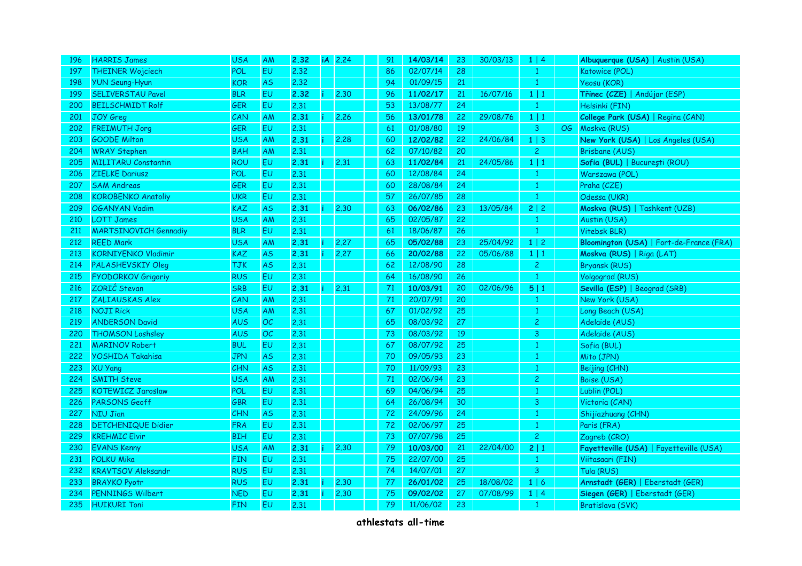| 196 | <b>HARRIS James</b>          | <b>USA</b> | AM        | 2.32 | <b>iA</b> | 2.24 | 91 | 14/03/14 | 23 | 30/03/13 | $1 \mid 4$     |    | Albuquerque (USA)   Austin (USA)         |
|-----|------------------------------|------------|-----------|------|-----------|------|----|----------|----|----------|----------------|----|------------------------------------------|
| 197 | <b>THEINER Wojciech</b>      | <b>POL</b> | EU.       | 2.32 |           |      | 86 | 02/07/14 | 28 |          | $\mathbf{1}$   |    | Katowice (POL)                           |
| 198 | <b>YUN Seung-Hyun</b>        | <b>KOR</b> | <b>AS</b> | 2.32 |           |      | 94 | 01/09/15 | 21 |          | $\mathbf{1}$   |    | Yeosu (KOR)                              |
| 199 | <b>SELIVERSTAU Pavel</b>     | <b>BLR</b> | <b>EU</b> | 2.32 |           | 2.30 | 96 | 11/02/17 | 21 | 16/07/16 | $1 \mid 1$     |    | Třinec (CZE)   Andújar (ESP)             |
| 200 | <b>BEILSCHMIDT Rolf</b>      | <b>GER</b> | EU        | 2.31 |           |      | 53 | 13/08/77 | 24 |          | $\mathbf{1}$   |    | Helsinki (FIN)                           |
| 201 | <b>JOY Greg</b>              | CAN        | AM        | 2.31 |           | 2.26 | 56 | 13/01/78 | 22 | 29/08/76 | $1 \mid 1$     |    | College Park (USA)   Regina (CAN)        |
| 202 | <b>FREIMUTH Jorg</b>         | <b>GER</b> | <b>EU</b> | 2,31 |           |      | 61 | 01/08/80 | 19 |          | 3              | OG | Moskva (RUS)                             |
| 203 | <b>GOODE Milton</b>          | <b>USA</b> | AM        | 2.31 |           | 2.28 | 60 | 12/02/82 | 22 | 24/06/84 | $1 \mid 3$     |    | New York (USA)   Los Angeles (USA)       |
| 204 | <b>WRAY Stephen</b>          | <b>BAH</b> | AM        | 2,31 |           |      | 62 | 07/10/82 | 20 |          | $\overline{c}$ |    | <b>Brisbane (AUS)</b>                    |
| 205 | <b>MILITARU Constantin</b>   | <b>ROU</b> | EU        | 2.31 | ÷         | 2.31 | 63 | 11/02/84 | 21 | 24/05/86 | $1 \mid 1$     |    | Sofia (BUL)   București (ROU)            |
| 206 | <b>ZIELKE Dariusz</b>        | <b>POL</b> | <b>EU</b> | 2,31 |           |      | 60 | 12/08/84 | 24 |          | $\mathbf{1}$   |    | Warszawa (POL)                           |
| 207 | <b>SAM Andreas</b>           | <b>GER</b> | EU        | 2.31 |           |      | 60 | 28/08/84 | 24 |          | $\mathbf{1}$   |    | Praha (CZE)                              |
| 208 | <b>KOROBENKO Anatoliy</b>    | <b>UKR</b> | EU        | 2.31 |           |      | 57 | 26/07/85 | 28 |          | $\mathbf{1}$   |    | Odessa (UKR)                             |
| 209 | <b>OGANYAN Vadim</b>         | KAZ        | <b>AS</b> | 2.31 |           | 2.30 | 63 | 06/02/86 | 23 | 13/05/84 | 2 2            |    | Moskva (RUS)   Tashkent (UZB)            |
| 210 | <b>LOTT James</b>            | <b>USA</b> | AM        | 2,31 |           |      | 65 | 02/05/87 | 22 |          | $\mathbf{1}$   |    | Austin (USA)                             |
| 211 | <b>MARTSINOVICH Gennadiy</b> | <b>BLR</b> | EU.       | 2.31 |           |      | 61 | 18/06/87 | 26 |          | $\mathbf{1}$   |    | Vitebsk BLR)                             |
| 212 | <b>REED Mark</b>             | <b>USA</b> | AM        | 2.31 |           | 2.27 | 65 | 05/02/88 | 23 | 25/04/92 | $1 \mid 2$     |    | Bloomington (USA)   Fort-de-France (FRA) |
| 213 | <b>KORNIYENKO Vladimir</b>   | <b>KAZ</b> | <b>AS</b> | 2.31 |           | 2.27 | 66 | 20/02/88 | 22 | 05/06/88 | $1 \mid 1$     |    | Moskva (RUS)   Riga (LAT)                |
| 214 | <b>PALASHEVSKIY Oleg</b>     | <b>TJK</b> | <b>AS</b> | 2.31 |           |      | 62 | 12/08/90 | 28 |          | $\overline{c}$ |    | <b>Bryansk (RUS)</b>                     |
| 215 | <b>FYODORKOV Grigoriy</b>    | <b>RUS</b> | <b>EU</b> | 2.31 |           |      | 64 | 16/08/90 | 26 |          | $\mathbf{1}$   |    | Volgograd (RUS)                          |
| 216 | ZORIĆ Stevan                 | <b>SRB</b> | <b>EU</b> | 2.31 |           | 2,31 | 71 | 10/03/91 | 20 | 02/06/96 | 5 1            |    | Sevilla (ESP)   Beograd (SRB)            |
| 217 | ZALIAUSKAS Alex              | CAN        | AM        | 2.31 |           |      | 71 | 20/07/91 | 20 |          | $\mathbf{1}$   |    | New York (USA)                           |
| 218 | <b>NOJI Rick</b>             | <b>USA</b> | AM        | 2.31 |           |      | 67 | 01/02/92 | 25 |          | $\mathbf{1}$   |    | Long Beach (USA)                         |
| 219 | <b>ANDERSON David</b>        | <b>AUS</b> | OC        | 2,31 |           |      | 65 | 08/03/92 | 27 |          | $\overline{c}$ |    | Adelaide (AUS)                           |
| 220 | <b>THOMSON Loshsley</b>      | <b>AUS</b> | OC        | 2.31 |           |      | 73 | 08/03/92 | 19 |          | 3              |    | Adelaide (AUS)                           |
| 221 | <b>MARINOV Robert</b>        | <b>BUL</b> | <b>EU</b> | 2.31 |           |      | 67 | 08/07/92 | 25 |          | $\mathbf{1}$   |    | Sofia (BUL)                              |
| 222 | <b>YOSHIDA Takahisa</b>      | <b>JPN</b> | <b>AS</b> | 2.31 |           |      | 70 | 09/05/93 | 23 |          | 1              |    | Mito (JPN)                               |
| 223 | <b>XU Yang</b>               | CHN        | <b>AS</b> | 2,31 |           |      | 70 | 11/09/93 | 23 |          | 1              |    | Beijing (CHN)                            |
| 224 | <b>SMITH Steve</b>           | <b>USA</b> | AM        | 2,31 |           |      | 71 | 02/06/94 | 23 |          | 2              |    | Boise (USA)                              |
| 225 | <b>KOTEWICZ Jaroslaw</b>     | <b>POL</b> | EU        | 2.31 |           |      | 69 | 04/06/94 | 25 |          | $\mathbf{1}$   |    | Lublin (POL)                             |
| 226 | PARSONS Geoff                | <b>GBR</b> | EU        | 2,31 |           |      | 64 | 26/08/94 | 30 |          | $\overline{3}$ |    | Victoria (CAN)                           |
| 227 | <b>NIU Jian</b>              | CHN        | <b>AS</b> | 2.31 |           |      | 72 | 24/09/96 | 24 |          | $\mathbf{1}$   |    | Shijiazhuang (CHN)                       |
| 228 | <b>DETCHENIQUE Didier</b>    | <b>FRA</b> | <b>EU</b> | 2.31 |           |      | 72 | 02/06/97 | 25 |          | $\overline{1}$ |    | Paris (FRA)                              |
| 229 | <b>KREHMIC Elvir</b>         | <b>BIH</b> | <b>EU</b> | 2,31 |           |      | 73 | 07/07/98 | 25 |          | $\overline{c}$ |    | Zagreb (CRO)                             |
| 230 | <b>EVANS Kenny</b>           | <b>USA</b> | AM        | 2.31 |           | 2.30 | 79 | 10/03/00 | 21 | 22/04/00 | 2 1            |    | Fayetteville (USA)   Fayetteville (USA)  |
| 231 | <b>POLKU Mika</b>            | <b>FIN</b> | EU        | 2.31 |           |      | 75 | 22/07/00 | 25 |          | $\mathbf{1}$   |    | Viitasaari (FIN)                         |
| 232 | <b>KRAVTSOV Aleksandr</b>    | <b>RUS</b> | EU        | 2,31 |           |      | 74 | 14/07/01 | 27 |          | 3              |    | Tula (RUS)                               |
| 233 | <b>BRAYKO Pyotr</b>          | <b>RUS</b> | EU.       | 2.31 |           | 2,30 | 77 | 26/01/02 | 25 | 18/08/02 | 1   6          |    | Arnstadt (GER)   Eberstadt (GER)         |
| 234 | PENNINGS Wilbert             | <b>NED</b> | <b>EU</b> | 2.31 |           | 2,30 | 75 | 09/02/02 | 27 | 07/08/99 | $1 \mid 4$     |    | Siegen (GER)   Eberstadt (GER)           |
| 235 | <b>HUIKURI Toni</b>          | <b>FIN</b> | EU        | 2,31 |           |      | 79 | 11/06/02 | 23 |          | 1              |    | Bratislava (SVK)                         |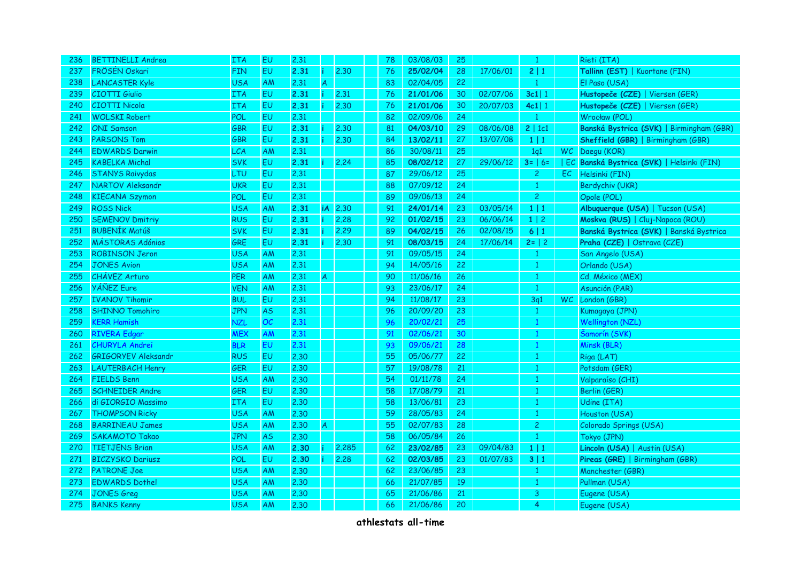| 236 | <b>BETTINELLI Andrea</b>   | <b>ITA</b> | EU        | 2.31 |                |       | 78 | 03/08/03 | 25 |          | -1             |     | Rieti (ITA)                               |
|-----|----------------------------|------------|-----------|------|----------------|-------|----|----------|----|----------|----------------|-----|-------------------------------------------|
| 237 | FRÖSÉN Oskari              | <b>FIN</b> | <b>EU</b> | 2.31 | ÷              | 2.30  | 76 | 25/02/04 | 28 | 17/06/01 | 2 1            |     | Tallinn (EST)   Kuortane (FIN)            |
| 238 | <b>LANCASTER Kyle</b>      | <b>USA</b> | AM        | 2,31 | $\overline{A}$ |       | 83 | 02/04/05 | 22 |          | $\mathbf{1}$   |     | El Paso (USA)                             |
| 239 | <b>CIOTTI Giulio</b>       | <b>ITA</b> | <b>EU</b> | 2.31 | ï.             | 2.31  | 76 | 21/01/06 | 30 | 02/07/06 | $3c1$   1      |     | Hustopeče (CZE)   Viersen (GER)           |
| 240 | <b>CIOTTI Nicola</b>       | <b>ITA</b> | EU        | 2.31 |                | 2,30  | 76 | 21/01/06 | 30 | 20/07/03 | $4c1$   1      |     | Hustopeče (CZE)   Viersen (GER)           |
| 241 | <b>WOLSKI Robert</b>       | POL        | EU        | 2.31 |                |       | 82 | 02/09/06 | 24 |          | $\mathbf{1}$   |     | Wrocław (POL)                             |
| 242 | <b>ONI</b> Samson          | <b>GBR</b> | EU        | 2.31 |                | 2.30  | 81 | 04/03/10 | 29 | 08/06/08 | 2   1c1        |     | Banská Bystrica (SVK)   Birmingham (GBR)  |
| 243 | <b>PARSONS Tom</b>         | GBR        | EU        | 2.31 |                | 2.30  | 84 | 13/02/11 | 27 | 13/07/08 | $1 \mid 1$     |     | Sheffield (GBR)   Birmingham (GBR)        |
| 244 | <b>EDWARDS Darwin</b>      | <b>LCA</b> | AM        | 2,31 |                |       | 86 | 30/08/11 | 25 |          | 1q1            |     | WC Daegu (KOR)                            |
| 245 | <b>KABELKA Michal</b>      | <b>SVK</b> | EU        | 2.31 |                | 2.24  | 85 | 08/02/12 | 27 | 29/06/12 | $3 =   6 =$    |     | EC Banská Bystrica (SVK)   Helsinki (FIN) |
| 246 | <b>STANYS Raivydas</b>     | LTU        | <b>EU</b> | 2.31 |                |       | 87 | 29/06/12 | 25 |          | $\overline{c}$ | EC  | Helsinki (FIN)                            |
| 247 | <b>NARTOV Aleksandr</b>    | <b>UKR</b> | <b>EU</b> | 2.31 |                |       | 88 | 07/09/12 | 24 |          | $\mathbf{1}$   |     | Berdychiv (UKR)                           |
| 248 | <b>KIECANA Szymon</b>      | <b>POL</b> | <b>EU</b> | 2,31 |                |       | 89 | 09/06/13 | 24 |          | 2              |     | Opole (POL)                               |
| 249 | <b>ROSS Nick</b>           | <b>USA</b> | AM        | 2.31 | <b>iA</b>      | 2.30  | 91 | 24/01/14 | 23 | 03/05/14 | $1 \mid 1$     |     | Albuquerque (USA)   Tucson (USA)          |
| 250 | <b>SEMENOV Dmitriy</b>     | <b>RUS</b> | EU        | 2.31 |                | 2.28  | 92 | 01/02/15 | 23 | 06/06/14 | $1 \mid 2$     |     | Moskva (RUS)   Cluj-Napoca (ROU)          |
| 251 | <b>BUBENÍK Matúš</b>       | <b>SVK</b> | EU        | 2.31 |                | 2.29  | 89 | 04/02/15 | 26 | 02/08/15 | 6 1            |     | Banská Bystrica (SVK)   Banská Bystrica   |
| 252 | <b>MÁSTORAS Adónios</b>    | GRE        | EU        | 2.31 |                | 2.30  | 91 | 08/03/15 | 24 | 17/06/14 | $2 =   2$      |     | Praha (CZE)   Ostrava (CZE)               |
| 253 | <b>ROBINSON Jeron</b>      | <b>USA</b> | AM        | 2.31 |                |       | 91 | 09/05/15 | 24 |          | $\mathbf{1}$   |     | San Angelo (USA)                          |
| 254 | <b>JONES Avion</b>         | <b>USA</b> | AM        | 2,31 |                |       | 94 | 14/05/16 | 22 |          | $\mathbf{1}$   |     | Orlando (USA)                             |
| 255 | CHÁVEZ Arturo              | <b>PER</b> | AM        | 2,31 | A              |       | 90 | 11/06/16 | 26 |          | $\mathbf{1}$   |     | Cd. México (MEX)                          |
| 256 | <b>YÁÑEZ</b> Eure          | <b>VEN</b> | AM        | 2,31 |                |       | 93 | 23/06/17 | 24 |          | $\mathbf{1}$   |     | Asunción (PAR)                            |
| 257 | <b>IVANOV Tihomir</b>      | <b>BUL</b> | EU        | 2,31 |                |       | 94 | 11/08/17 | 23 |          | 3q1            | WC. | London (GBR)                              |
| 258 | <b>SHINNO Tomohiro</b>     | <b>JPN</b> | <b>AS</b> | 2.31 |                |       | 96 | 20/09/20 | 23 |          | $\mathbf{1}$   |     | Kumagaya (JPN)                            |
| 259 | <b>KERR Hamish</b>         | <b>NZL</b> | <b>OC</b> | 2.31 |                |       | 96 | 20/02/21 | 25 |          | $\mathbf{1}$   |     | <b>Wellington (NZL)</b>                   |
| 260 | <b>RIVERA Edgar</b>        | <b>MEX</b> | AM        | 2.31 |                |       | 91 | 02/06/21 | 30 |          | $\mathbf{1}$   |     | Šamorín (SVK)                             |
| 261 | <b>CHURYLA Andrei</b>      | <b>BLR</b> | <b>EU</b> | 2.31 |                |       | 93 | 09/06/21 | 28 |          | $\mathbf{1}$   |     | Minsk (BLR)                               |
| 262 | <b>GRIGORYEV Aleksandr</b> | <b>RUS</b> | <b>EU</b> | 2,30 |                |       | 55 | 05/06/77 | 22 |          | $\mathbf{1}$   |     | Riga (LAT)                                |
| 263 | <b>LAUTERBACH Henry</b>    | <b>GER</b> | <b>EU</b> | 2,30 |                |       | 57 | 19/08/78 | 21 |          | $\mathbf{1}$   |     | Potsdam (GER)                             |
| 264 | <b>FIELDS Benn</b>         | <b>USA</b> | AM        | 2.30 |                |       | 54 | 01/11/78 | 24 |          | $\mathbf{1}$   |     | Valparaíso (CHI)                          |
| 265 | <b>SCHNEIDER Andre</b>     | <b>GER</b> | EU        | 2.30 |                |       | 58 | 17/08/79 | 21 |          | $\mathbf{1}$   |     | Berlin (GER)                              |
| 266 | di GIORGIO Massimo         | <b>ITA</b> | <b>EU</b> | 2.30 |                |       | 58 | 13/06/81 | 23 |          | $\mathbf{1}$   |     | Udine (ITA)                               |
| 267 | <b>THOMPSON Ricky</b>      | <b>USA</b> | AM        | 2,30 |                |       | 59 | 28/05/83 | 24 |          | $\mathbf{1}$   |     | Houston (USA)                             |
| 268 | <b>BARRINEAU James</b>     | <b>USA</b> | AM        | 2.30 | $\mathsf{A}$   |       | 55 | 02/07/83 | 28 |          | $\overline{c}$ |     | Colorado Springs (USA)                    |
| 269 | <b>SAKAMOTO Takao</b>      | <b>JPN</b> | <b>AS</b> | 2.30 |                |       | 58 | 06/05/84 | 26 |          | $\mathbf{1}$   |     | Tokyo (JPN)                               |
| 270 | <b>TIETJENS Brian</b>      | <b>USA</b> | AM        | 2.30 |                | 2.285 | 62 | 23/02/85 | 23 | 09/04/83 | $1 \mid 1$     |     | Lincoln (USA)   Austin (USA)              |
| 271 | <b>BICZYSKO Dariusz</b>    | POL        | EU        | 2.30 |                | 2.28  | 62 | 02/03/85 | 23 | 01/07/83 | 3 1            |     | Pireas (GRE)   Birmingham (GBR)           |
| 272 | <b>PATRONE Joe</b>         | <b>USA</b> | AM        | 2.30 |                |       | 62 | 23/06/85 | 23 |          | $\mathbf{1}$   |     | Manchester (GBR)                          |
| 273 | <b>EDWARDS Dothel</b>      | <b>USA</b> | AM        | 2,30 |                |       | 66 | 21/07/85 | 19 |          | 1              |     | Pullman (USA)                             |
| 274 | <b>JONES Greg</b>          | <b>USA</b> | AM        | 2.30 |                |       | 65 | 21/06/86 | 21 |          | 3              |     | Eugene (USA)                              |
| 275 | <b>BANKS Kenny</b>         | <b>USA</b> | AM        | 2,30 |                |       | 66 | 21/06/86 | 20 |          | 4              |     | Eugene (USA)                              |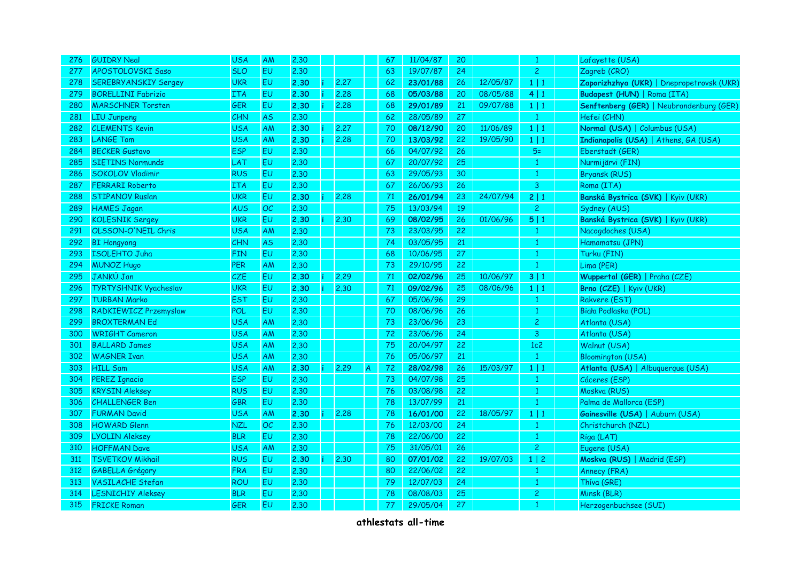| 276 | <b>GUIDRY Neal</b>           | <b>USA</b> | AM             | 2.30 |      | 67            | 11/04/87 | 20 |          | $\mathbf{1}$   | Lafayette (USA)                           |
|-----|------------------------------|------------|----------------|------|------|---------------|----------|----|----------|----------------|-------------------------------------------|
| 277 | APOSTOLOVSKI Saso            | <b>SLO</b> | <b>EU</b>      | 2.30 |      | 63            | 19/07/87 | 24 |          | $\overline{2}$ | Zagreb (CRO)                              |
| 278 | <b>SEREBRYANSKIY Sergey</b>  | <b>UKR</b> | <b>EU</b>      | 2.30 | 2.27 | 62            | 23/01/88 | 26 | 12/05/87 | $1 \mid 1$     | Zaporizhzhya (UKR)   Dnepropetrovsk (UKR) |
| 279 | <b>BORELLINI Fabrizio</b>    | <b>ITA</b> | <b>EU</b>      | 2.30 | 2,28 | 68            | 05/03/88 | 20 | 08/05/88 | 4 1            | Budapest (HUN)   Roma (ITA)               |
| 280 | <b>MARSCHNER Torsten</b>     | <b>GER</b> | EU             | 2.30 | 2,28 | 68            | 29/01/89 | 21 | 09/07/88 | $1 \mid 1$     | Senftenberg (GER)   Neubrandenburg (GER)  |
| 281 | <b>LIU Junpeng</b>           | CHN        | <b>AS</b>      | 2,30 |      | 62            | 28/05/89 | 27 |          | 1              | Hefei (CHN)                               |
| 282 | <b>CLEMENTS Kevin</b>        | USA        | AM             | 2.30 | 2.27 | 70            | 08/12/90 | 20 | 11/06/89 | 1 1            | Normal (USA)   Columbus (USA)             |
| 283 | <b>LANGE Tom</b>             | <b>USA</b> | AM             | 2.30 | 2.28 | 70            | 13/03/92 | 22 | 19/05/90 | 1 1            | Indianapolis (USA)   Athens, GA (USA)     |
| 284 | <b>BECKER Gustavo</b>        | <b>ESP</b> | <b>EU</b>      | 2.30 |      | 66            | 04/07/92 | 26 |          | $5=$           | Eberstadt (GER)                           |
| 285 | <b>SIETINS Normunds</b>      | LAT        | E <sub>U</sub> | 2.30 |      | 67            | 20/07/92 | 25 |          | 1              | Nurmijärvi (FIN)                          |
| 286 | <b>SOKOLOV Vladimir</b>      | <b>RUS</b> | EU.            | 2.30 |      | 63            | 29/05/93 | 30 |          | 1              | <b>Bryansk (RUS)</b>                      |
| 287 | <b>FERRARI Roberto</b>       | <b>ITA</b> | <b>EU</b>      | 2.30 |      | 67            | 26/06/93 | 26 |          | 3              | Roma (ITA)                                |
| 288 | <b>STIPANOV Ruslan</b>       | <b>UKR</b> | <b>EU</b>      | 2.30 | 2,28 | 71            | 26/01/94 | 23 | 24/07/94 | 2 1            | Banská Bystrica (SVK)   Kyiv (UKR)        |
| 289 | <b>HAMES Jagan</b>           | AUS        | OC             | 2.30 |      | 75            | 13/03/94 | 19 |          | $\overline{2}$ | Sydney (AUS)                              |
| 290 | <b>KOLESNIK Sergey</b>       | <b>UKR</b> | EU.            | 2.30 | 2.30 | 69            | 08/02/95 | 26 | 01/06/96 | 5 1            | Banská Bystrica (SVK)   Kyiv (UKR)        |
| 291 | OLSSON-O'NEIL Chris          | <b>USA</b> | AM             | 2.30 |      | 73            | 23/03/95 | 22 |          | $\mathbf{1}$   | Nacogdoches (USA)                         |
| 292 | <b>BI</b> Hongyong           | CHN        | <b>AS</b>      | 2.30 |      | 74            | 03/05/95 | 21 |          | $\mathbf{1}$   | Hamamatsu (JPN)                           |
| 293 | <b>ISOLEHTO Juha</b>         | <b>FIN</b> | EU             | 2.30 |      | 68            | 10/06/95 | 27 |          | 1              | Turku (FIN)                               |
| 294 | <b>MUNOZ Hugo</b>            | <b>PER</b> | AM             | 2.30 |      | 73            | 29/10/95 | 22 |          | $\mathbf{1}$   | Lima (PER)                                |
| 295 | JANKÚ Jan                    | CZE        | <b>EU</b>      | 2.30 | 2.29 | $\mathbf{71}$ | 02/02/96 | 25 | 10/06/97 | 3 1            | Wuppertal (GER)   Praha (CZE)             |
| 296 | <b>TYRTYSHNIK Vyacheslav</b> | <b>UKR</b> | <b>EU</b>      | 2.30 | 2.30 | $71\,$        | 09/02/96 | 25 | 08/06/96 | 1 1            | Brno (CZE)   Kyiv (UKR)                   |
| 297 | <b>TURBAN Marko</b>          | <b>EST</b> | <b>EU</b>      | 2,30 |      | 67            | 05/06/96 | 29 |          | $\mathbf{1}$   | Rakvere (EST)                             |
| 298 | RADKIEWICZ Przemyslaw        | POL        | <b>EU</b>      | 2,30 |      | 70            | 08/06/96 | 26 |          | -1             | Biała Podlaska (POL)                      |
| 299 | <b>BROXTERMAN Ed</b>         | <b>USA</b> | AM             | 2,30 |      | 73            | 23/06/96 | 23 |          | $\overline{2}$ | Atlanta (USA)                             |
| 300 | <b>WRIGHT Cameron</b>        | <b>USA</b> | AM             | 2.30 |      | 72            | 23/06/96 | 24 |          | 3              | Atlanta (USA)                             |
| 301 | <b>BALLARD James</b>         | <b>USA</b> | AM             | 2,30 |      | 75            | 20/04/97 | 22 |          | 1c2            | Walnut (USA)                              |
| 302 | <b>WAGNER Ivan</b>           | <b>USA</b> | AM             | 2.30 |      | 76            | 05/06/97 | 21 |          | $\mathbf{1}$   | <b>Bloomington (USA)</b>                  |
| 303 | <b>HILL Sam</b>              | <b>USA</b> | AM             | 2.30 | 2.29 | 72            | 28/02/98 | 26 | 15/03/97 | 1 1            | Atlanta (USA)   Albuquerque (USA)         |
| 304 | <b>PEREZ Ignacio</b>         | <b>ESP</b> | <b>EU</b>      | 2.30 |      | 73            | 04/07/98 | 25 |          | $\mathbf{1}$   | Cáceres (ESP)                             |
| 305 | <b>KRYSIN Aleksey</b>        | <b>RUS</b> | EU.            | 2,30 |      | 76            | 03/08/98 | 22 |          | $\mathbf{1}$   | Moskva (RUS)                              |
| 306 | <b>CHALLENGER Ben</b>        | GBR        | <b>EU</b>      | 2,30 |      | 78            | 13/07/99 | 21 |          | $\mathbf{1}$   | Palma de Mallorca (ESP)                   |
| 307 | <b>FURMAN David</b>          | <b>USA</b> | AM             | 2.30 | 2.28 | 78            | 16/01/00 | 22 | 18/05/97 | 1 1            | Gainesville (USA)   Auburn (USA)          |
| 308 | <b>HOWARD Glenn</b>          | <b>NZL</b> | OC             | 2.30 |      | 76            | 12/03/00 | 24 |          | $\mathbf{1}$   | Christchurch (NZL)                        |
| 309 | <b>LYOLIN Aleksey</b>        | <b>BLR</b> | <b>EU</b>      | 2.30 |      | 78            | 22/06/00 | 22 |          | 1              | Riga (LAT)                                |
| 310 | <b>HOFFMAN Dave</b>          | <b>USA</b> | AM             | 2.30 |      | 75            | 31/05/01 | 26 |          | $\overline{c}$ | Eugene (USA)                              |
| 311 | <b>TSVETKOV Mikhail</b>      | <b>RUS</b> | <b>EU</b>      | 2.30 | 2,30 | 80            | 07/01/02 | 22 | 19/07/03 | 1 2            | Moskva (RUS)   Madrid (ESP)               |
| 312 | <b>GABELLA Grégory</b>       | <b>FRA</b> | <b>EU</b>      | 2,30 |      | 80            | 22/06/02 | 22 |          | $\mathbf{1}$   | Annecy (FRA)                              |
| 313 | <b>VASILACHE Stefan</b>      | <b>ROU</b> | <b>EU</b>      | 2.30 |      | 79            | 12/07/03 | 24 |          | $\mathbf{1}$   | Thíva (GRE)                               |
| 314 | <b>LESNICHIY Aleksey</b>     | <b>BLR</b> | EU             | 2.30 |      | 78            | 08/08/03 | 25 |          | $\overline{c}$ | Minsk (BLR)                               |
| 315 | <b>FRICKE Roman</b>          | <b>GER</b> | EU             | 2.30 |      | 77            | 29/05/04 | 27 |          | $\mathbf{1}$   | Herzogenbuchsee (SUI)                     |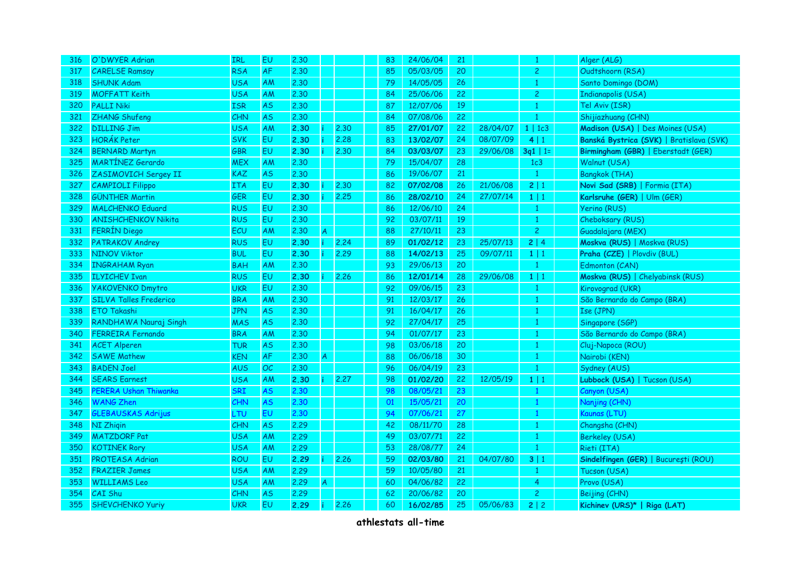| 316 | O'DWYER Adrian                | IRL        | EU        | 2.30 |                |      | 83 | 24/06/04 | 21 |          | $\mathbf{1}$   | Alger (ALG)                              |
|-----|-------------------------------|------------|-----------|------|----------------|------|----|----------|----|----------|----------------|------------------------------------------|
| 317 | <b>CARELSE Ramsay</b>         | <b>RSA</b> | <b>AF</b> | 2.30 |                |      | 85 | 05/03/05 | 20 |          | $\overline{c}$ | Oudtshoorn (RSA)                         |
| 318 | <b>SHUNK Adam</b>             | <b>USA</b> | AM        | 2.30 |                |      | 79 | 14/05/05 | 26 |          | $\mathbf{1}$   | Santo Domingo (DOM)                      |
| 319 | <b>MOFFATT Keith</b>          | <b>USA</b> | AM        | 2,30 |                |      | 84 | 25/06/06 | 22 |          | $\overline{c}$ | Indianapolis (USA)                       |
| 320 | <b>PALLI Niki</b>             | <b>ISR</b> | <b>AS</b> | 2,30 |                |      | 87 | 12/07/06 | 19 |          | $\mathbf{1}$   | Tel Aviv (ISR)                           |
| 321 | ZHANG Shufeng                 | CHN        | AS.       | 2,30 |                |      | 84 | 07/08/06 | 22 |          | 1              | Shijiazhuang (CHN)                       |
| 322 | <b>DILLING Jim</b>            | <b>USA</b> | AM        | 2.30 |                | 2.30 | 85 | 27/01/07 | 22 | 28/04/07 | $1 \mid 1c3$   | Madison (USA)   Des Moines (USA)         |
| 323 | <b>HORÁK Peter</b>            | <b>SVK</b> | <b>EU</b> | 2.30 |                | 2.28 | 83 | 13/02/07 | 24 | 08/07/09 | 4   1          | Banská Bystrica (SVK)   Bratislava (SVK) |
| 324 | <b>BERNARD Martyn</b>         | <b>GBR</b> | EU        | 2.30 |                | 2.30 | 84 | 03/03/07 | 23 | 29/06/08 | $3q1$   1=     | Birmingham (GBR)   Eberstadt (GER)       |
| 325 | <b>MARTÍNEZ Gerardo</b>       | <b>MEX</b> | AM        | 2,30 |                |      | 79 | 15/04/07 | 28 |          | 1c3            | Walnut (USA)                             |
| 326 | ZASIMOVICH Sergey II          | KAZ        | <b>AS</b> | 2.30 |                |      | 86 | 19/06/07 | 21 |          | $\mathbf{1}$   | <b>Bangkok (THA)</b>                     |
| 327 | <b>CAMPIOLI Filippo</b>       | <b>ITA</b> | <b>EU</b> | 2.30 |                | 2.30 | 82 | 07/02/08 | 26 | 21/06/08 | 2 1            | Novi Sad (SRB)   Formia (ITA)            |
| 328 | <b>GÜNTHER Martin</b>         | <b>GER</b> | EU        | 2.30 |                | 2.25 | 86 | 28/02/10 | 24 | 27/07/14 | 1 1            | Karlsruhe (GER)   Ulm (GER)              |
| 329 | <b>MALCHENKO Eduard</b>       | <b>RUS</b> | EU        | 2.30 |                |      | 86 | 12/06/10 | 24 |          | $\mathbf{1}$   | Yerino (RUS)                             |
| 330 | <b>ANISHCHENKOV Nikita</b>    | <b>RUS</b> | EU.       | 2.30 |                |      | 92 | 03/07/11 | 19 |          | $\mathbf{1}$   | Cheboksary (RUS)                         |
| 331 | <b>FERRÍN Diego</b>           | ECU        | AM        | 2.30 | A              |      | 88 | 27/10/11 | 23 |          | $\overline{2}$ | Guadalajara (MEX)                        |
| 332 | <b>PATRAKOV Andrey</b>        | <b>RUS</b> | <b>EU</b> | 2.30 |                | 2.24 | 89 | 01/02/12 | 23 | 25/07/13 | 2 4            | Moskva (RUS)   Moskva (RUS)              |
| 333 | <b>NINOV Viktor</b>           | <b>BUL</b> | <b>EU</b> | 2.30 |                | 2.29 | 88 | 14/02/13 | 25 | 09/07/11 | $1 \mid 1$     | Praha (CZE)   Plovdiv (BUL)              |
| 334 | <b>INGRAHAM Ryan</b>          | <b>BAH</b> | AM        | 2.30 |                |      | 93 | 29/06/13 | 20 |          | $\mathbf{1}$   | Edmonton (CAN)                           |
| 335 | <b>ILYICHEV Ivan</b>          | <b>RUS</b> | <b>EU</b> | 2.30 |                | 2.26 | 86 | 12/01/14 | 28 | 29/06/08 | 1 1            | Moskva (RUS)   Chelyabinsk (RUS)         |
| 336 | <b>YAKOVENKO Dmytro</b>       | <b>UKR</b> | <b>EU</b> | 2.30 |                |      | 92 | 09/06/15 | 23 |          | $\mathbf{1}$   | Kirovograd (UKR)                         |
| 337 | <b>SILVA Talles Frederico</b> | <b>BRA</b> | AM        | 2.30 |                |      | 91 | 12/03/17 | 26 |          | $\mathbf{1}$   | São Bernardo do Campo (BRA)              |
| 338 | <b>ETO Takashi</b>            | JPN        | AS.       | 2.30 |                |      | 91 | 16/04/17 | 26 |          | $\mathbf{1}$   | Ise (JPN)                                |
| 339 | RANDHAWA Nauraj Singh         | <b>MAS</b> | <b>AS</b> | 2.30 |                |      | 92 | 27/04/17 | 25 |          | $\mathbf{1}$   | Singapore (SGP)                          |
| 340 | <b>FERREIRA Fernando</b>      | <b>BRA</b> | AM        | 2,30 |                |      | 94 | 01/07/17 | 23 |          | $\mathbf{1}$   | São Bernardo do Campo (BRA)              |
| 341 | <b>ACET Alperen</b>           | <b>TUR</b> | <b>AS</b> | 2.30 |                |      | 98 | 03/06/18 | 20 |          | $\mathbf{1}$   | Cluj-Napoca (ROU)                        |
| 342 | <b>SAWE Mathew</b>            | <b>KEN</b> | <b>AF</b> | 2.30 | $\overline{A}$ |      | 88 | 06/06/18 | 30 |          | 1              | Nairobi (KEN)                            |
| 343 | <b>BADEN Joel</b>             | <b>AUS</b> | OC        | 2,30 |                |      | 96 | 06/04/19 | 23 |          | $\mathbf{1}$   | Sydney (AUS)                             |
| 344 | <b>SEARS Earnest</b>          | <b>USA</b> | AM        | 2.30 |                | 2.27 | 98 | 01/02/20 | 22 | 12/05/19 | $1 \mid 1$     | Lubbock (USA)   Tucson (USA)             |
| 345 | PERERA Ushan Thiwanka         | <b>SRI</b> | AS.       | 2.30 |                |      | 98 | 08/05/21 | 23 |          | $\mathbf{1}$   | Canyon (USA)                             |
| 346 | <b>WANG Zhen</b>              | CHN        | AS.       | 2.30 |                |      | 01 | 15/05/21 | 20 |          | $\mathbf{1}$   | Nanjing (CHN)                            |
| 347 | <b>GLEBAUSKAS Adrijus</b>     | LTU        | EU        | 2.30 |                |      | 94 | 07/06/21 | 27 |          | $\mathbf{1}$   | Kaunas (LTU)                             |
| 348 | <b>NI Zhigin</b>              | CHN        | <b>AS</b> | 2.29 |                |      | 42 | 08/11/70 | 28 |          | $\mathbf{1}$   | Changsha (CHN)                           |
| 349 | <b>MATZDORF Pat</b>           | <b>USA</b> | AM        | 2.29 |                |      | 49 | 03/07/71 | 22 |          | $\mathbf{1}$   | <b>Berkeley (USA)</b>                    |
| 350 | <b>KOTINEK Rory</b>           | <b>USA</b> | AM        | 2.29 |                |      | 53 | 28/08/77 | 24 |          | $\mathbf{1}$   | Rieti (ITA)                              |
| 351 | PROTEASA Adrian               | <b>ROU</b> | EU.       | 2.29 |                | 2.26 | 59 | 02/03/80 | 21 | 04/07/80 | 3 1            | Sindelfingen (GER)   București (ROU)     |
| 352 | <b>FRAZIER James</b>          | <b>USA</b> | AM        | 2.29 |                |      | 59 | 10/05/80 | 21 |          | $\mathbf{1}$   | Tucson (USA)                             |
| 353 | <b>WILLIAMS Leo</b>           | <b>USA</b> | AM        | 2.29 | A.             |      | 60 | 04/06/82 | 22 |          | $\overline{4}$ | Provo (USA)                              |
| 354 | CAI Shu                       | CHN        | AS.       | 2.29 |                |      | 62 | 20/06/82 | 20 |          | $\overline{c}$ | Beijing (CHN)                            |
| 355 | <b>SHEVCHENKO Yuriy</b>       | <b>UKR</b> | <b>EU</b> | 2.29 | ÷              | 2.26 | 60 | 16/02/85 | 25 | 05/06/83 | 2 2            | Kichinev (URS)*   Riga (LAT)             |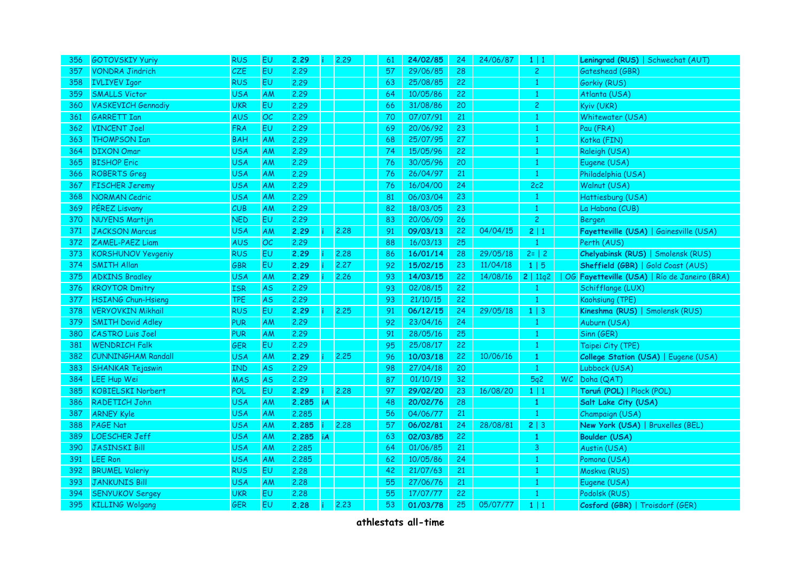| 356 | <b>GOTOVSKIY Yuriy</b>    | <b>RUS</b> | <b>EU</b>      | 2.29  |           | 2.29 | 61 | 24/02/85 | 24 | 24/06/87 | $1 \mid 1$     | Leningrad (RUS)   Schwechat (AUT)            |
|-----|---------------------------|------------|----------------|-------|-----------|------|----|----------|----|----------|----------------|----------------------------------------------|
| 357 | <b>VONDRA Jindrich</b>    | CZE        | <b>EU</b>      | 2.29  |           |      | 57 | 29/06/85 | 28 |          | $\overline{2}$ | Gateshead (GBR)                              |
| 358 | <b>IVLIYEV Igor</b>       | <b>RUS</b> | E <sub>U</sub> | 2.29  |           |      | 63 | 25/08/85 | 22 |          | $\mathbf{1}$   | Gorkiy (RUS)                                 |
| 359 | <b>SMALLS Victor</b>      | <b>USA</b> | <b>AM</b>      | 2.29  |           |      | 64 | 10/05/86 | 22 |          | $\mathbf{1}$   | Atlanta (USA)                                |
| 360 | <b>VASKEVICH Gennadiy</b> | <b>UKR</b> | EU             | 2.29  |           |      | 66 | 31/08/86 | 20 |          | 2              | Kyiv (UKR)                                   |
| 361 | <b>GARRETT Ian</b>        | AUS        | OC             | 2.29  |           |      | 70 | 07/07/91 | 21 |          | 1              | Whitewater (USA)                             |
| 362 | <b>VINCENT Joel</b>       | <b>FRA</b> | EU             | 2.29  |           |      | 69 | 20/06/92 | 23 |          | $\mathbf{1}$   | Pau (FRA)                                    |
| 363 | <b>THOMPSON Ian</b>       | <b>BAH</b> | AM             | 2.29  |           |      | 68 | 25/07/95 | 27 |          | $\mathbf{1}$   | Kotka (FIN)                                  |
| 364 | <b>DIXON Omar</b>         | <b>USA</b> | AM             | 2.29  |           |      | 74 | 15/05/96 | 22 |          | $\mathbf{1}$   | Raleigh (USA)                                |
| 365 | <b>BISHOP Eric</b>        | <b>USA</b> | <b>AM</b>      | 2.29  |           |      | 76 | 30/05/96 | 20 |          | 1              | Eugene (USA)                                 |
| 366 | <b>ROBERTS Greg</b>       | <b>USA</b> | AM             | 2.29  |           |      | 76 | 26/04/97 | 21 |          | $\mathbf{1}$   | Philadelphia (USA)                           |
| 367 | <b>FISCHER Jeremy</b>     | <b>USA</b> | AM             | 2.29  |           |      | 76 | 16/04/00 | 24 |          | 2c2            | Walnut (USA)                                 |
| 368 | <b>NORMAN Cedric</b>      | <b>USA</b> | <b>AM</b>      | 2.29  |           |      | 81 | 06/03/04 | 23 |          | $\mathbf{1}$   | Hattiesburg (USA)                            |
| 369 | PÉREZ Lisvany             | CUB        | <b>AM</b>      | 2,29  |           |      | 82 | 18/03/05 | 23 |          | $\mathbf{1}$   | La Habana (CUB)                              |
| 370 | <b>NUYENS Martijn</b>     | <b>NED</b> | EU             | 2.29  |           |      | 83 | 20/06/09 | 26 |          | $\mathbf{2}$   | <b>Bergen</b>                                |
| 371 | <b>JACKSON Marcus</b>     | <b>USA</b> | AM             | 2.29  |           | 2,28 | 91 | 09/03/13 | 22 | 04/04/15 | 2 1            | Fayetteville (USA)   Gainesville (USA)       |
| 372 | ZAMEL-PAEZ Liam           | <b>AUS</b> | OC             | 2.29  |           |      | 88 | 16/03/13 | 25 |          | $\mathbf{1}$   | Perth (AUS)                                  |
| 373 | <b>KORSHUNOV Yevgeniy</b> | <b>RUS</b> | EU             | 2.29  |           | 2.28 | 86 | 16/01/14 | 28 | 29/05/18 | $2 =  2$       | Chelyabinsk (RUS)   Smolensk (RUS)           |
| 374 | <b>SMITH Allan</b>        | GBR        | EU             | 2.29  |           | 2.27 | 92 | 15/02/15 | 23 | 11/04/18 | 1 5            | Sheffield (GBR)   Gold Coast (AUS)           |
| 375 | <b>ADKINS Bradley</b>     | <b>USA</b> | AM             | 2.29  |           | 2.26 | 93 | 14/03/15 | 22 | 14/08/16 | 2   11q2       | OG Fayetteville (USA)   Río de Janeiro (BRA) |
| 376 | <b>KROYTOR Dmitry</b>     | <b>ISR</b> | AS             | 2.29  |           |      | 93 | 02/08/15 | 22 |          | 1              | Schifflange (LUX)                            |
| 377 | <b>HSIANG Chun-Hsieng</b> | <b>TPE</b> | <b>AS</b>      | 2.29  |           |      | 93 | 21/10/15 | 22 |          |                | Kaohsiung (TPE)                              |
| 378 | <b>VERYOVKIN Mikhail</b>  | <b>RUS</b> | EU             | 2.29  |           | 2.25 | 91 | 06/12/15 | 24 | 29/05/18 | $1 \mid 3$     | Kineshma (RUS)   Smolensk (RUS)              |
| 379 | <b>SMITH David Adley</b>  | <b>PUR</b> | AM             | 2.29  |           |      | 92 | 23/04/16 | 24 |          |                | Auburn (USA)                                 |
| 380 | <b>CASTRO Luis Joel</b>   | <b>PUR</b> | AM             | 2.29  |           |      | 91 | 28/05/16 | 25 |          | $\,1\,$        | Sinn (GER)                                   |
| 381 | <b>WENDRICH Falk</b>      | GER        | EU             | 2.29  |           |      | 95 | 25/08/17 | 22 |          | $\mathbf{1}$   | Taipei City (TPE)                            |
| 382 | <b>CUNNINGHAM Randall</b> | <b>USA</b> | AM             | 2.29  |           | 2.25 | 96 | 10/03/18 | 22 | 10/06/16 | $\mathbf{1}$   | College Station (USA)   Eugene (USA)         |
| 383 | <b>SHANKAR Tejaswin</b>   | <b>IND</b> | <b>AS</b>      | 2.29  |           |      | 98 | 27/04/18 | 20 |          | $\mathbf{1}$   | Lubbock (USA)                                |
| 384 | <b>LEE Hup Wei</b>        | <b>MAS</b> | <b>AS</b>      | 2.29  |           |      | 87 | 01/10/19 | 32 |          | 5q2            | WC Doha (QAT)                                |
| 385 | <b>KOBIELSKI Norbert</b>  | POL        | <b>EU</b>      | 2.29  |           | 2.28 | 97 | 29/02/20 | 23 | 16/08/20 | $1 \mid 1$     | Toruń (POL)   Plock (POL)                    |
| 386 | RADETICH John             | <b>USA</b> | AM             | 2.285 | iA        |      | 48 | 20/02/76 | 28 |          | $\mathbf{1}$   | Salt Lake City (USA)                         |
| 387 | <b>ARNEY Kyle</b>         | <b>USA</b> | AM             | 2,285 |           |      | 56 | 04/06/77 | 21 |          | $\mathbf{1}$   | Champaign (USA)                              |
| 388 | PAGE Nat                  | <b>USA</b> | AM             | 2.285 |           | 2,28 | 57 | 06/02/81 | 24 | 28/08/81 | 2 3            | New York (USA)   Bruxelles (BEL)             |
| 389 | <b>LOESCHER Jeff</b>      | <b>USA</b> | AM             | 2.285 | <b>iA</b> |      | 63 | 02/03/85 | 22 |          | $\mathbf{1}$   | <b>Boulder (USA)</b>                         |
| 390 | <b>JASINSKI Bill</b>      | <b>USA</b> | AM             | 2.285 |           |      | 64 | 01/06/85 | 21 |          | 3              | Austin (USA)                                 |
| 391 | <b>LEE Ron</b>            | <b>USA</b> | AM             | 2,285 |           |      | 62 | 10/05/86 | 24 |          | $\mathbf{1}$   | Pomona (USA)                                 |
| 392 | <b>BRUMEL Valeriy</b>     | <b>RUS</b> | <b>EU</b>      | 2.28  |           |      | 42 | 21/07/63 | 21 |          | 1              | Moskva (RUS)                                 |
| 393 | <b>JANKUNIS Bill</b>      | <b>USA</b> | AM             | 2,28  |           |      | 55 | 27/06/76 | 21 |          | $\mathbf{1}$   | Eugene (USA)                                 |
| 394 | <b>SENYUKOV Sergey</b>    | <b>UKR</b> | <b>EU</b>      | 2.28  |           |      | 55 | 17/07/77 | 22 |          | $\mathbf{1}$   | Podolsk (RUS)                                |
| 395 | <b>KILLING Wolgang</b>    | <b>GER</b> | <b>EU</b>      | 2.28  |           | 2.23 | 53 | 01/03/78 | 25 | 05/07/77 | 1 1            | Cosford (GBR)   Troisdorf (GER)              |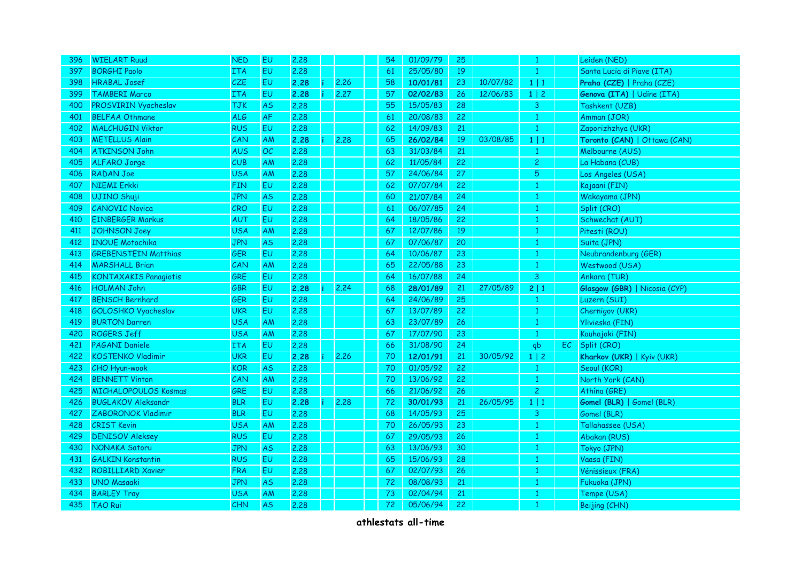| 396 | <b>WIELART Ruud</b>          | <b>NED</b> | EU        | 2.28 |    |      | 54 | 01/09/79 | 25 |          | 1              |    | Leiden (NED)                  |
|-----|------------------------------|------------|-----------|------|----|------|----|----------|----|----------|----------------|----|-------------------------------|
| 397 | <b>BORGHI Paolo</b>          | <b>ITA</b> | <b>EU</b> | 2.28 |    |      | 61 | 25/05/80 | 19 |          | $\mathbf{1}$   |    | Santa Lucia di Piave (ITA)    |
| 398 | <b>HRABAL Josef</b>          | <b>CZE</b> | <b>EU</b> | 2.28 |    | 2.26 | 58 | 10/01/81 | 23 | 10/07/82 | 1 1            |    | Praha (CZE)   Praha (CZE)     |
| 399 | <b>TAMBERI Marco</b>         | <b>ITA</b> | <b>EU</b> | 2.28 | î. | 2.27 | 57 | 02/02/83 | 26 | 12/06/83 | $1 \mid 2$     |    | Genova (ITA)   Udine (ITA)    |
| 400 | PROSVIRIN Vyacheslav         | <b>TJK</b> | <b>AS</b> | 2.28 |    |      | 55 | 15/05/83 | 28 |          | 3              |    | Tashkent (UZB)                |
| 401 | <b>BELFAA Othmane</b>        | <b>ALG</b> | AF        | 2,28 |    |      | 61 | 20/08/83 | 22 |          | $\mathbf{1}$   |    | Amman (JOR)                   |
| 402 | <b>MALCHUGIN Viktor</b>      | <b>RUS</b> | EU        | 2.28 |    |      | 62 | 14/09/83 | 21 |          | $\mathbf{1}$   |    | Zaporizhzhya (UKR)            |
| 403 | <b>METELLUS Alain</b>        | CAN        | AM        | 2.28 |    | 2.28 | 65 | 26/02/84 | 19 | 03/08/85 | $1 \mid 1$     |    | Toronto (CAN)   Ottawa (CAN)  |
| 404 | <b>ATKINSON John</b>         | <b>AUS</b> | OC        | 2.28 |    |      | 63 | 31/03/84 | 21 |          | $\mathbf{1}$   |    | Melbourne (AUS)               |
| 405 | <b>ALFARO Jorge</b>          | CUB        | AM        | 2,28 |    |      | 62 | 11/05/84 | 22 |          | $\overline{c}$ |    | La Habana (CUB)               |
| 406 | RADAN Joe                    | <b>USA</b> | AM        | 2.28 |    |      | 57 | 24/06/84 | 27 |          | 5              |    | Los Angeles (USA)             |
| 407 | <b>NIEMI Erkki</b>           | <b>FIN</b> | <b>EU</b> | 2.28 |    |      | 62 | 07/07/84 | 22 |          | $\mathbf{1}$   |    | Kajaani (FIN)                 |
| 408 | UJINO Shuji                  | <b>JPN</b> | <b>AS</b> | 2.28 |    |      | 60 | 21/07/84 | 24 |          | $\mathbf{1}$   |    | Wakayama (JPN)                |
| 409 | <b>CANOVIC Novica</b>        | CRO        | EU        | 2.28 |    |      | 61 | 06/07/85 | 24 |          | $\mathbf{1}$   |    | Split (CRO)                   |
| 410 | <b>EINBERGER Markus</b>      | AUT        | EU.       | 2.28 |    |      | 64 | 18/05/86 | 22 |          | $\mathbf{1}$   |    | Schwechat (AUT)               |
| 411 | <b>JOHNSON Joey</b>          | <b>USA</b> | AM        | 2.28 |    |      | 67 | 12/07/86 | 19 |          | $\mathbf{1}$   |    | Pitesti (ROU)                 |
| 412 | <b>INOUE Motochika</b>       | <b>JPN</b> | <b>AS</b> | 2.28 |    |      | 67 | 07/06/87 | 20 |          | $\mathbf{1}$   |    | Suita (JPN)                   |
| 413 | <b>GREBENSTEIN Matthias</b>  | <b>GER</b> | EU        | 2,28 |    |      | 64 | 10/06/87 | 23 |          | $\mathbf{1}$   |    | Neubrandenburg (GER)          |
| 414 | <b>MARSHALL Brian</b>        | CAN        | AM        | 2.28 |    |      | 65 | 22/05/88 | 23 |          | $\mathbf{1}$   |    | Westwood (USA)                |
| 415 | <b>KONTAXAKIS Panagiotis</b> | GRE        | <b>EU</b> | 2.28 |    |      | 64 | 16/07/88 | 24 |          | 3              |    | Ankara (TUR)                  |
| 416 | <b>HOLMAN John</b>           | GBR        | EU        | 2.28 |    | 2.24 | 68 | 28/01/89 | 21 | 27/05/89 | 2 1            |    | Glasgow (GBR)   Nicosia (CYP) |
| 417 | <b>BENSCH Bernhard</b>       | GER        | <b>EU</b> | 2.28 |    |      | 64 | 24/06/89 | 25 |          | 1              |    | Luzern (SUI)                  |
| 418 | <b>GOLOSHKO Vyacheslav</b>   | <b>UKR</b> | EU        | 2.28 |    |      | 67 | 13/07/89 | 22 |          | $\mathbf{1}$   |    | Chernigov (UKR)               |
| 419 | <b>BURTON Darren</b>         | <b>USA</b> | AM        | 2.28 |    |      | 63 | 23/07/89 | 26 |          | $\mathbf{1}$   |    | Ylivieska (FIN)               |
| 420 | <b>ROGERS Jeff</b>           | <b>USA</b> | AM        | 2.28 |    |      | 67 | 17/07/90 | 23 |          | $\mathbf{1}$   |    | Kauhajoki (FIN)               |
| 421 | <b>PAGANI Daniele</b>        | <b>ITA</b> | EU.       | 2.28 |    |      | 66 | 31/08/90 | 24 |          | qb             | EC | Split (CRO)                   |
| 422 | <b>KOSTENKO Vladimir</b>     | <b>UKR</b> | <b>EU</b> | 2.28 |    | 2.26 | 70 | 12/01/91 | 21 | 30/05/92 | $1 \mid 2$     |    | Kharkov (UKR)   Kyiv (UKR)    |
| 423 | CHO Hyun-wook                | <b>KOR</b> | <b>AS</b> | 2.28 |    |      | 70 | 01/05/92 | 22 |          | 1              |    | Seoul (KOR)                   |
| 424 | <b>BENNETT Vinton</b>        | CAN        | AM        | 2.28 |    |      | 70 | 13/06/92 | 22 |          | $\mathbf{1}$   |    | North York (CAN)              |
| 425 | <b>MICHALOPOULOS Kosmas</b>  | GRE        | EU        | 2.28 |    |      | 66 | 21/06/92 | 26 |          | $\overline{c}$ |    | Athina (GRE)                  |
| 426 | <b>BUGLAKOV Aleksandr</b>    | <b>BLR</b> | <b>EU</b> | 2.28 |    | 2.28 | 72 | 30/01/93 | 21 | 26/05/95 | 1 1            |    | Gomel (BLR)   Gomel (BLR)     |
| 427 | <b>ZABORONOK Vladimir</b>    | <b>BLR</b> | <b>EU</b> | 2.28 |    |      | 68 | 14/05/93 | 25 |          | $\overline{3}$ |    | Gomel (BLR)                   |
| 428 | <b>CRIST Kevin</b>           | <b>USA</b> | AM        | 2,28 |    |      | 70 | 26/05/93 | 23 |          | $\mathbf{1}$   |    | Tallahassee (USA)             |
| 429 | <b>DENISOV Aleksey</b>       | <b>RUS</b> | <b>EU</b> | 2.28 |    |      | 67 | 29/05/93 | 26 |          | $\mathbf{1}$   |    | Abakan (RUS)                  |
| 430 | NONAKA Satoru                | <b>JPN</b> | <b>AS</b> | 2.28 |    |      | 63 | 13/06/93 | 30 |          | $\mathbf{1}$   |    | Tokyo (JPN)                   |
| 431 | <b>GALKIN Konstantin</b>     | <b>RUS</b> | <b>EU</b> | 2.28 |    |      | 65 | 15/06/93 | 28 |          | $\mathbf{1}$   |    | Vaasa (FIN)                   |
| 432 | <b>ROBILLIARD Xavier</b>     | <b>FRA</b> | EU        | 2,28 |    |      | 67 | 02/07/93 | 26 |          | $\mathbf{1}$   |    | Vénissieux (FRA)              |
| 433 | <b>UNO Masaaki</b>           | JPN        | <b>AS</b> | 2.28 |    |      | 72 | 08/08/93 | 21 |          | $\mathbf{1}$   |    | Fukuoka (JPN)                 |
| 434 | <b>BARLEY Tray</b>           | <b>USA</b> | AM        | 2,28 |    |      | 73 | 02/04/94 | 21 |          | $\mathbf{1}$   |    | Tempe (USA)                   |
| 435 | <b>TAO Rui</b>               | CHN        | <b>AS</b> | 2.28 |    |      | 72 | 05/06/94 | 22 |          | 1              |    | Beijing (CHN)                 |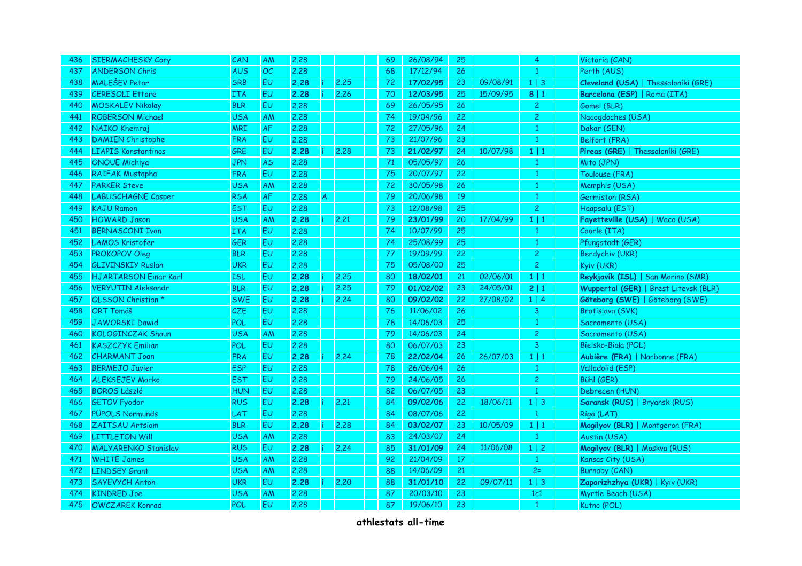| 436 | <b>SIERMACHESKY Cory</b>     | CAN        | <b>AM</b>      | 2,28 |   |      | 69 | 26/08/94 | 25 |          | $\overline{4}$ | Victoria (CAN)                        |
|-----|------------------------------|------------|----------------|------|---|------|----|----------|----|----------|----------------|---------------------------------------|
| 437 | <b>ANDERSON Chris</b>        | <b>AUS</b> | OC             | 2.28 |   |      | 68 | 17/12/94 | 26 |          | $\mathbf{1}$   | Perth (AUS)                           |
| 438 | <b>MALEŠEV Petar</b>         | <b>SRB</b> | <b>EU</b>      | 2.28 |   | 2.25 | 72 | 17/02/95 | 23 | 09/08/91 | $1 \mid 3$     | Cleveland (USA)   Thessaloníki (GRE)  |
| 439 | <b>CERESOLI Ettore</b>       | <b>ITA</b> | EU             | 2.28 |   | 2.26 | 70 | 12/03/95 | 25 | 15/09/95 | 8 1            | Barcelona (ESP)   Roma (ITA)          |
| 440 | <b>MOSKALEV Nikolay</b>      | <b>BLR</b> | EU             | 2.28 |   |      | 69 | 26/05/95 | 26 |          | $\overline{c}$ | Gomel (BLR)                           |
| 441 | <b>ROBERSON Michael</b>      | <b>USA</b> | AM             | 2.28 |   |      | 74 | 19/04/96 | 22 |          | $\overline{c}$ | Nacogdoches (USA)                     |
| 442 | NAIKO Khemraj                | <b>MRI</b> | ${\sf AF}$     | 2.28 |   |      | 72 | 27/05/96 | 24 |          | $\mathbf{1}$   | Dakar (SEN)                           |
| 443 | <b>DAMIEN Christophe</b>     | <b>FRA</b> | EU             | 2,28 |   |      | 73 | 21/07/96 | 23 |          | $\mathbf{1}$   | Belfort (FRA)                         |
| 444 | <b>LIAPIS Konstantinos</b>   | GRE        | EU             | 2.28 |   | 2.28 | 73 | 21/02/97 | 24 | 10/07/98 | $1 \mid 1$     | Pireas (GRE)   Thessaloníki (GRE)     |
| 445 | <b>ONOUE Michiya</b>         | <b>JPN</b> | <b>AS</b>      | 2.28 |   |      | 71 | 05/05/97 | 26 |          | 1              | Mito (JPN)                            |
| 446 | <b>RAIFAK Mustapha</b>       | <b>FRA</b> | <b>EU</b>      | 2,28 |   |      | 75 | 20/07/97 | 22 |          | 1              | Toulouse (FRA)                        |
| 447 | <b>PARKER Steve</b>          | <b>USA</b> | AM             | 2.28 |   |      | 72 | 30/05/98 | 26 |          | $\mathbf{1}$   | Memphis (USA)                         |
| 448 | <b>LABUSCHAGNE Casper</b>    | <b>RSA</b> | <b>AF</b>      | 2.28 | A |      | 79 | 20/06/98 | 19 |          | $\mathbf{1}$   | Germiston (RSA)                       |
| 449 | <b>KAJU Ramon</b>            | <b>EST</b> | EU             | 2.28 |   |      | 73 | 12/08/98 | 25 |          | $\overline{c}$ | Haapsalu (EST)                        |
| 450 | <b>HOWARD Jason</b>          | <b>USA</b> | AM             | 2.28 |   | 2,21 | 79 | 23/01/99 | 20 | 17/04/99 | 1 1            | Fayetteville (USA)   Waco (USA)       |
| 451 | <b>BERNASCONI Ivan</b>       | <b>ITA</b> | <b>EU</b>      | 2,28 |   |      | 74 | 10/07/99 | 25 |          | $\mathbf{1}$   | Caorle (ITA)                          |
| 452 | <b>LAMOS Kristofer</b>       | <b>GER</b> | <b>EU</b>      | 2.28 |   |      | 74 | 25/08/99 | 25 |          | $\mathbf{1}$   | Pfungstadt (GER)                      |
| 453 | <b>PROKOPOV Oleg</b>         | <b>BLR</b> | <b>EU</b>      | 2.28 |   |      | 77 | 19/09/99 | 22 |          | $\overline{c}$ | Berdychiv (UKR)                       |
| 454 | <b>GLIVINSKIY Ruslan</b>     | <b>UKR</b> | <b>EU</b>      | 2.28 |   |      | 75 | 05/08/00 | 25 |          | $\overline{c}$ | Kyiv (UKR)                            |
| 455 | <b>HJARTARSON Einar Karl</b> | <b>ISL</b> | <b>EU</b>      | 2.28 |   | 2.25 | 80 | 18/02/01 | 21 | 02/06/01 | 1 1            | Reykjavík (ISL)   San Marino (SMR)    |
| 456 | <b>VERYUTIN Aleksandr</b>    | <b>BLR</b> | <b>EU</b>      | 2.28 |   | 2.25 | 79 | 01/02/02 | 23 | 24/05/01 | 2 1            | Wuppertal (GER)   Brest Litevsk (BLR) |
| 457 | OLSSON Christian *           | <b>SWE</b> | <b>EU</b>      | 2.28 |   | 2.24 | 80 | 09/02/02 | 22 | 27/08/02 | 1   4          | Göteborg (SWE)   Göteborg (SWE)       |
| 458 | <b>ORT Tomáš</b>             | <b>CZE</b> | <b>EU</b>      | 2.28 |   |      | 76 | 11/06/02 | 26 |          | 3              | Bratislava (SVK)                      |
| 459 | <b>JAWORSKI Dawid</b>        | POL        | <b>EU</b>      | 2.28 |   |      | 78 | 14/06/03 | 25 |          | $\mathbf{1}$   | Sacramento (USA)                      |
| 460 | KOLOGINCZAK Shaun            | <b>USA</b> | AM             | 2.28 |   |      | 79 | 14/06/03 | 24 |          | $\overline{c}$ | Sacramento (USA)                      |
| 461 | <b>KASZCZYK Emilian</b>      | POL        | <b>EU</b>      | 2.28 |   |      | 80 | 06/07/03 | 23 |          | 3              | Bielsko-Biała (POL)                   |
| 462 | <b>CHARMANT Joan</b>         | <b>FRA</b> | <b>EU</b>      | 2.28 |   | 2.24 | 78 | 22/02/04 | 26 | 26/07/03 | $1 \mid 1$     | Aubière (FRA)   Narbonne (FRA)        |
| 463 | <b>BERMEJO Javier</b>        | <b>ESP</b> | <b>EU</b>      | 2.28 |   |      | 78 | 26/06/04 | 26 |          | $\mathbf{1}$   | Valladolid (ESP)                      |
| 464 | <b>ALEKSEJEV Marko</b>       | <b>EST</b> | <b>EU</b>      | 2.28 |   |      | 79 | 24/06/05 | 26 |          | $\overline{c}$ | Bühl (GER)                            |
| 465 | <b>BOROS László</b>          | <b>HUN</b> | E <sub>U</sub> | 2.28 |   |      | 82 | 06/07/05 | 23 |          | $\mathbf{1}$   | Debrecen (HUN)                        |
| 466 | <b>GETOV Fyodor</b>          | <b>RUS</b> | <b>EU</b>      | 2.28 |   | 2,21 | 84 | 09/02/06 | 22 | 18/06/11 | $1 \mid 3$     | Saransk (RUS)   Bryansk (RUS)         |
| 467 | <b>PÜPOLS Normunds</b>       | LAT        | EU             | 2,28 |   |      | 84 | 08/07/06 | 22 |          | $\mathbf{1}$   | Riga (LAT)                            |
| 468 | ZAITSAU Artsiom              | <b>BLR</b> | EU             | 2.28 |   | 2,28 | 84 | 03/02/07 | 23 | 10/05/09 | $1 \mid 1$     | Mogilyov (BLR)   Montgeron (FRA)      |
| 469 | <b>LITTLETON Will</b>        | <b>USA</b> | AM             | 2.28 |   |      | 83 | 24/03/07 | 24 |          | $\mathbf{1}$   | Austin (USA)                          |
| 470 | <b>MALYARENKO Stanislav</b>  | <b>RUS</b> | EU             | 2.28 |   | 2.24 | 85 | 31/01/09 | 24 | 11/06/08 | $1 \mid 2$     | Mogilyov (BLR)   Moskva (RUS)         |
| 471 | <b>WHITE James</b>           | <b>USA</b> | AM             | 2.28 |   |      | 92 | 21/04/09 | 17 |          | $\mathbf{1}$   | Kansas City (USA)                     |
| 472 | <b>LINDSEY Grant</b>         | <b>USA</b> | AM             | 2.28 |   |      | 88 | 14/06/09 | 21 |          | $2=$           | Burnaby (CAN)                         |
| 473 | <b>SAYEVYCH Anton</b>        | <b>UKR</b> | EU             | 2.28 |   | 2,20 | 88 | 31/01/10 | 22 | 09/07/11 | $1 \mid 3$     | Zaporizhzhya (UKR)   Kyiv (UKR)       |
| 474 | <b>KINDRED Joe</b>           | <b>USA</b> | AM             | 2.28 |   |      | 87 | 20/03/10 | 23 |          | 1c1            | Myrtle Beach (USA)                    |
| 475 | <b>OWCZAREK Konrad</b>       | POL        | <b>EU</b>      | 2.28 |   |      | 87 | 19/06/10 | 23 |          | $\mathbf{1}$   | Kutno (POL)                           |